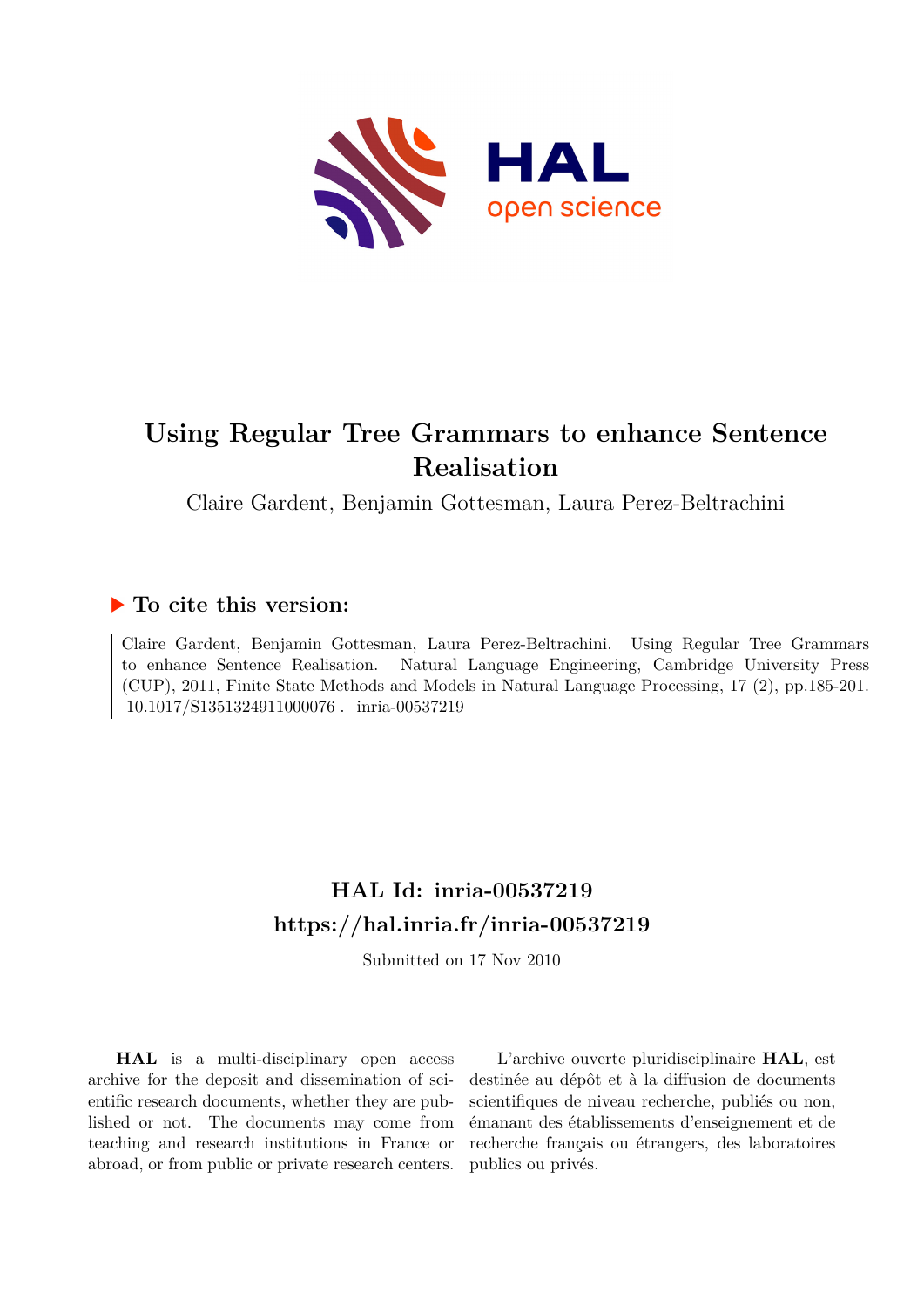

# **Using Regular Tree Grammars to enhance Sentence Realisation**

Claire Gardent, Benjamin Gottesman, Laura Perez-Beltrachini

# **To cite this version:**

Claire Gardent, Benjamin Gottesman, Laura Perez-Beltrachini. Using Regular Tree Grammars to enhance Sentence Realisation. Natural Language Engineering, Cambridge University Press (CUP), 2011, Finite State Methods and Models in Natural Language Processing, 17 (2), pp.185-201. 10.1017/S1351324911000076. inria-00537219

# **HAL Id: inria-00537219 <https://hal.inria.fr/inria-00537219>**

Submitted on 17 Nov 2010

**HAL** is a multi-disciplinary open access archive for the deposit and dissemination of scientific research documents, whether they are published or not. The documents may come from teaching and research institutions in France or abroad, or from public or private research centers.

L'archive ouverte pluridisciplinaire **HAL**, est destinée au dépôt et à la diffusion de documents scientifiques de niveau recherche, publiés ou non, émanant des établissements d'enseignement et de recherche français ou étrangers, des laboratoires publics ou privés.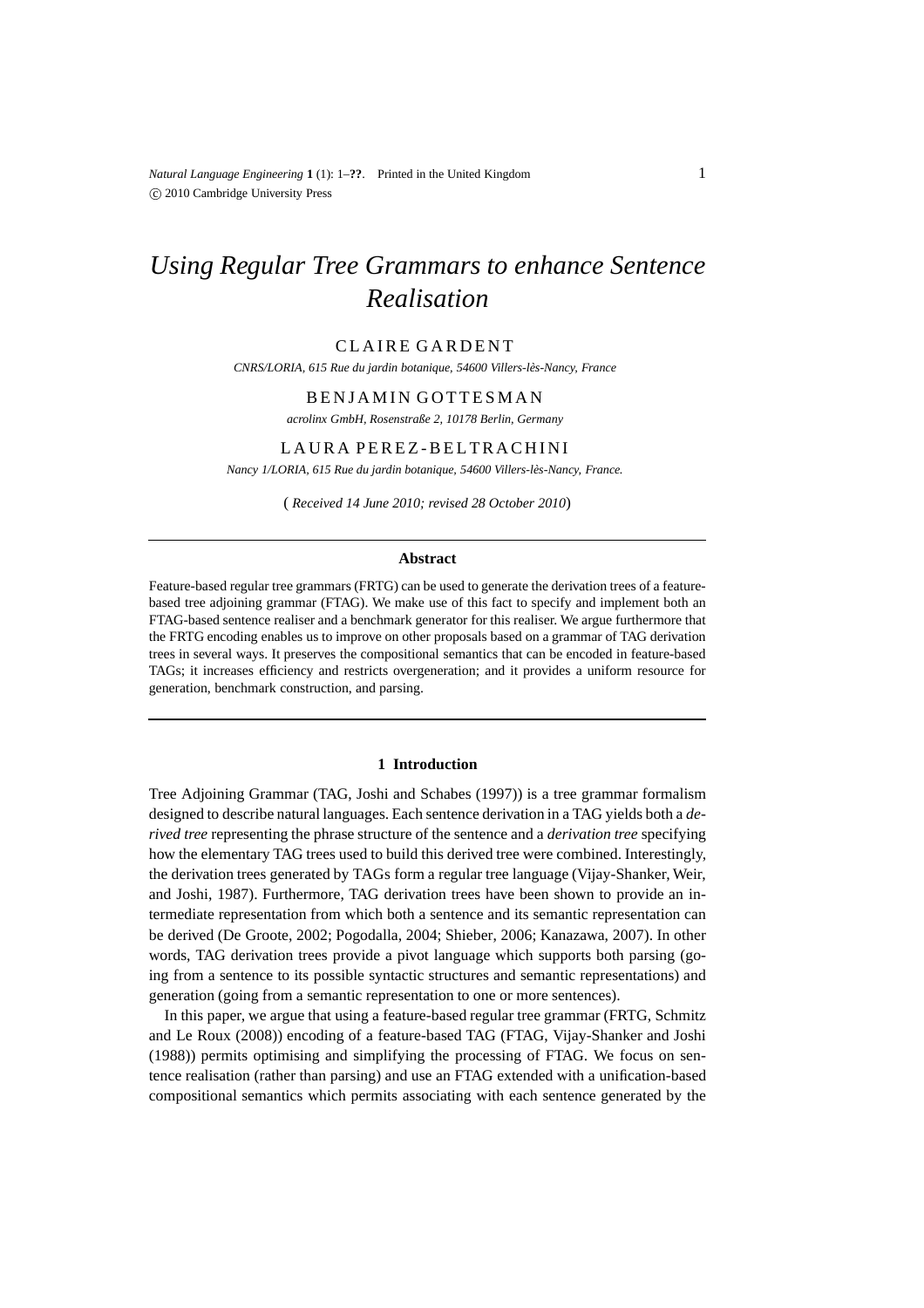*Natural Language Engineering* **1** (1): 1–**??**. Printed in the United Kingdom c 2010 Cambridge University Press

# *Using Regular Tree Grammars to enhance Sentence Realisation*

# CLAIRE GARDENT

*CNRS/LORIA, 615 Rue du jardin botanique, 54600 Villers-l`es-Nancy, France*

# BENJAMIN GOTTESMAN

*acrolinx GmbH, Rosenstraße 2, 10178 Berlin, Germany*

# LAURA PEREZ-BELTRACHINI

*Nancy 1/LORIA, 615 Rue du jardin botanique, 54600 Villers-l`es-Nancy, France.*

( *Received 14 June 2010; revised 28 October 2010*)

#### **Abstract**

Feature-based regular tree grammars (FRTG) can be used to generate the derivation trees of a featurebased tree adjoining grammar (FTAG). We make use of this fact to specify and implement both an FTAG-based sentence realiser and a benchmark generator for this realiser. We argue furthermore that the FRTG encoding enables us to improve on other proposals based on a grammar of TAG derivation trees in several ways. It preserves the compositional semantics that can be encoded in feature-based TAGs; it increases efficiency and restricts overgeneration; and it provides a uniform resource for generation, benchmark construction, and parsing.

#### **1 Introduction**

Tree Adjoining Grammar (TAG, Joshi and Schabes (1997)) is a tree grammar formalism designed to describe natural languages. Each sentence derivation in a TAG yields both a *derived tree* representing the phrase structure of the sentence and a *derivation tree* specifying how the elementary TAG trees used to build this derived tree were combined. Interestingly, the derivation trees generated by TAGs form a regular tree language (Vijay-Shanker, Weir, and Joshi, 1987). Furthermore, TAG derivation trees have been shown to provide an intermediate representation from which both a sentence and its semantic representation can be derived (De Groote, 2002; Pogodalla, 2004; Shieber, 2006; Kanazawa, 2007). In other words, TAG derivation trees provide a pivot language which supports both parsing (going from a sentence to its possible syntactic structures and semantic representations) and generation (going from a semantic representation to one or more sentences).

In this paper, we argue that using a feature-based regular tree grammar (FRTG, Schmitz and Le Roux (2008)) encoding of a feature-based TAG (FTAG, Vijay-Shanker and Joshi (1988)) permits optimising and simplifying the processing of FTAG. We focus on sentence realisation (rather than parsing) and use an FTAG extended with a unification-based compositional semantics which permits associating with each sentence generated by the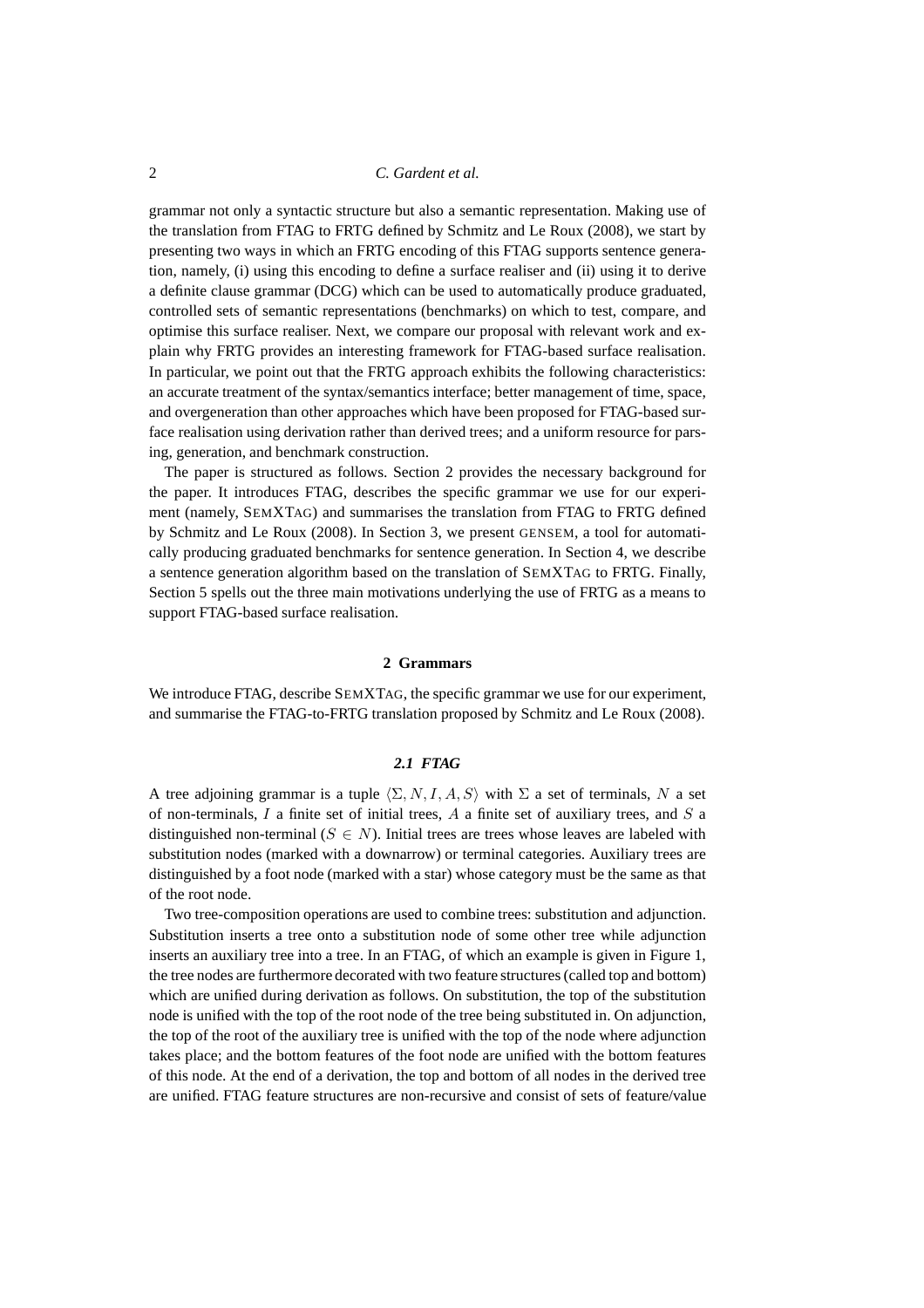grammar not only a syntactic structure but also a semantic representation. Making use of the translation from FTAG to FRTG defined by Schmitz and Le Roux (2008), we start by presenting two ways in which an FRTG encoding of this FTAG supports sentence generation, namely, (i) using this encoding to define a surface realiser and (ii) using it to derive a definite clause grammar (DCG) which can be used to automatically produce graduated, controlled sets of semantic representations (benchmarks) on which to test, compare, and optimise this surface realiser. Next, we compare our proposal with relevant work and explain why FRTG provides an interesting framework for FTAG-based surface realisation. In particular, we point out that the FRTG approach exhibits the following characteristics: an accurate treatment of the syntax/semantics interface; better management of time, space, and overgeneration than other approaches which have been proposed for FTAG-based surface realisation using derivation rather than derived trees; and a uniform resource for parsing, generation, and benchmark construction.

The paper is structured as follows. Section 2 provides the necessary background for the paper. It introduces FTAG, describes the specific grammar we use for our experiment (namely, SEMXTAG) and summarises the translation from FTAG to FRTG defined by Schmitz and Le Roux (2008). In Section 3, we present GENSEM, a tool for automatically producing graduated benchmarks for sentence generation. In Section 4, we describe a sentence generation algorithm based on the translation of SEMXTAG to FRTG. Finally, Section 5 spells out the three main motivations underlying the use of FRTG as a means to support FTAG-based surface realisation.

# **2 Grammars**

We introduce FTAG, describe SEMXTAG, the specific grammar we use for our experiment, and summarise the FTAG-to-FRTG translation proposed by Schmitz and Le Roux (2008).

# *2.1 FTAG*

A tree adjoining grammar is a tuple  $\langle \Sigma, N, I, A, S \rangle$  with  $\Sigma$  a set of terminals, N a set of non-terminals,  $I$  a finite set of initial trees,  $A$  a finite set of auxiliary trees, and  $S$  a distinguished non-terminal ( $S \in N$ ). Initial trees are trees whose leaves are labeled with substitution nodes (marked with a downarrow) or terminal categories. Auxiliary trees are distinguished by a foot node (marked with a star) whose category must be the same as that of the root node.

Two tree-composition operations are used to combine trees: substitution and adjunction. Substitution inserts a tree onto a substitution node of some other tree while adjunction inserts an auxiliary tree into a tree. In an FTAG, of which an example is given in Figure 1, the tree nodes are furthermore decorated with two feature structures (called top and bottom) which are unified during derivation as follows. On substitution, the top of the substitution node is unified with the top of the root node of the tree being substituted in. On adjunction, the top of the root of the auxiliary tree is unified with the top of the node where adjunction takes place; and the bottom features of the foot node are unified with the bottom features of this node. At the end of a derivation, the top and bottom of all nodes in the derived tree are unified. FTAG feature structures are non-recursive and consist of sets of feature/value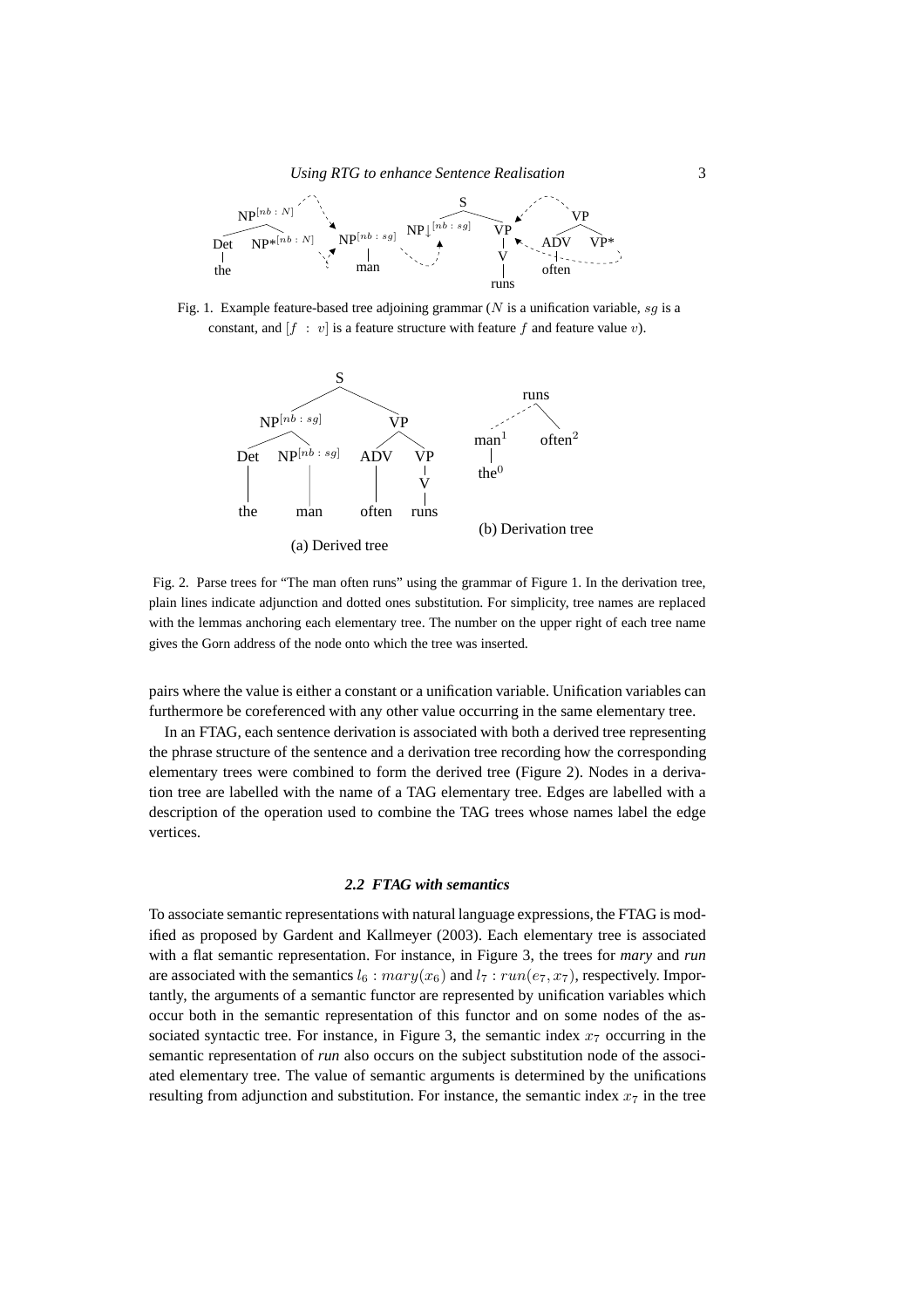

Fig. 1. Example feature-based tree adjoining grammar (N is a unification variable, sq is a constant, and  $[f : v]$  is a feature structure with feature f and feature value v).



Fig. 2. Parse trees for "The man often runs" using the grammar of Figure 1. In the derivation tree, plain lines indicate adjunction and dotted ones substitution. For simplicity, tree names are replaced with the lemmas anchoring each elementary tree. The number on the upper right of each tree name gives the Gorn address of the node onto which the tree was inserted.

pairs where the value is either a constant or a unification variable. Unification variables can furthermore be coreferenced with any other value occurring in the same elementary tree.

In an FTAG, each sentence derivation is associated with both a derived tree representing the phrase structure of the sentence and a derivation tree recording how the corresponding elementary trees were combined to form the derived tree (Figure 2). Nodes in a derivation tree are labelled with the name of a TAG elementary tree. Edges are labelled with a description of the operation used to combine the TAG trees whose names label the edge vertices.

#### *2.2 FTAG with semantics*

To associate semantic representations with natural language expressions, the FTAG is modified as proposed by Gardent and Kallmeyer (2003). Each elementary tree is associated with a flat semantic representation. For instance, in Figure 3, the trees for *mary* and *run* are associated with the semantics  $l_6:$   $mary(x_6)$  and  $l_7:$   $run(e_7, x_7)$ , respectively. Importantly, the arguments of a semantic functor are represented by unification variables which occur both in the semantic representation of this functor and on some nodes of the associated syntactic tree. For instance, in Figure 3, the semantic index  $x<sub>7</sub>$  occurring in the semantic representation of *run* also occurs on the subject substitution node of the associated elementary tree. The value of semantic arguments is determined by the unifications resulting from adjunction and substitution. For instance, the semantic index  $x_7$  in the tree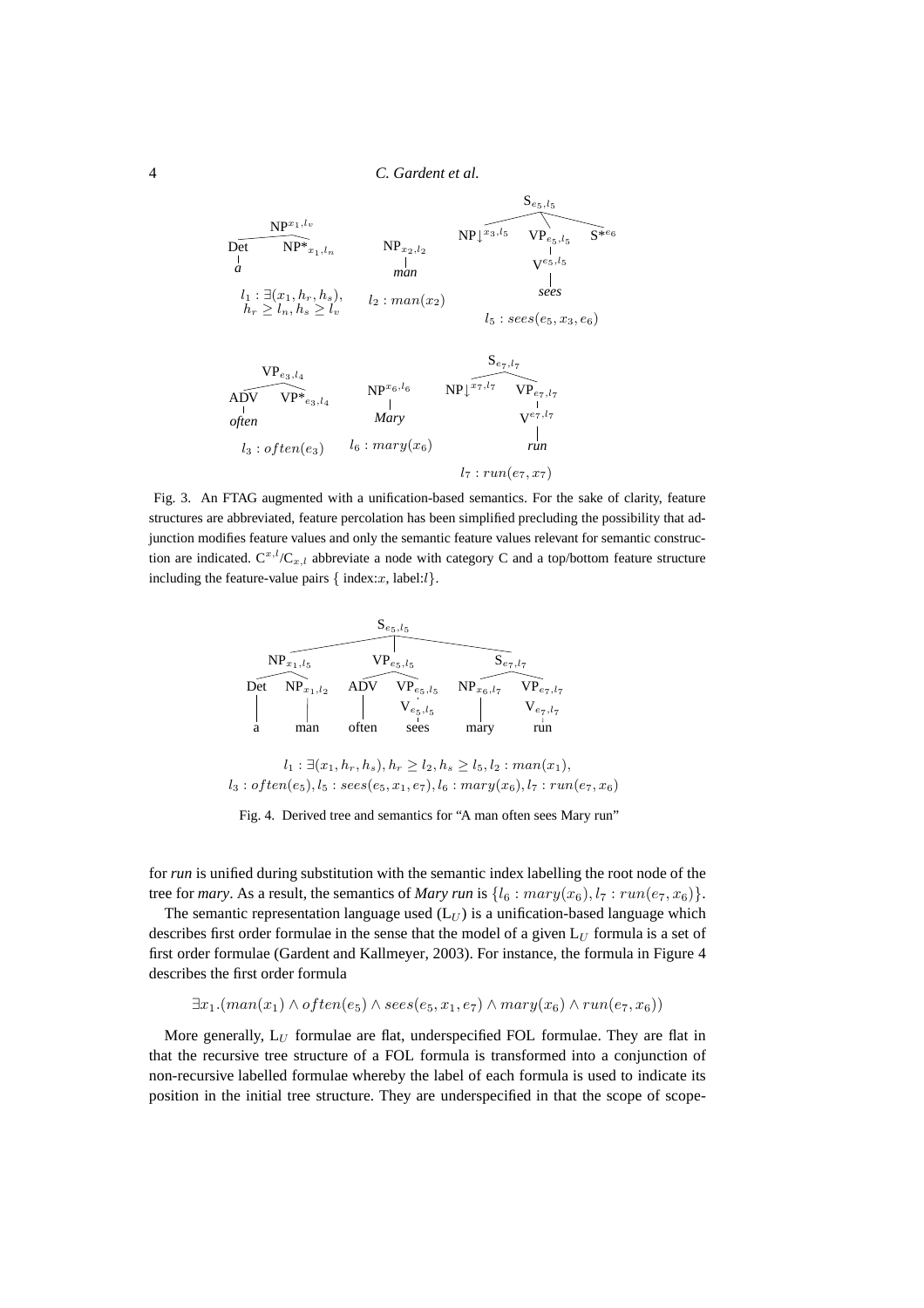| $NP^{x_1, l_v}$<br>$NP^*_{x_1,l_n}$<br>Det<br>a                | $NP_{x_2, l_2}$<br>man | $NP\downarrow^{x_3, l_5}$ | $\mathbf{D}_{e_5, l_5}$<br>$\mathrm{VP}_{e_5,\mathit{l}_5}$<br>$V^{e_5, l_5}$ | $S^{*e_6}$ |
|----------------------------------------------------------------|------------------------|---------------------------|-------------------------------------------------------------------------------|------------|
| $l_1 : \exists (x_1, h_r, h_s),$<br>$h_r \ge l_n, h_s \ge l_v$ | $l_2: man(x_2)$        |                           | sees<br>$l_5: sees(e_5, x_3, e_6)$                                            |            |

$$
\begin{array}{ccc}\n\text{VP}_{e_3, l_4} & \text{NP}^{x_6, l_6} & \text{NP}_{\downarrow}^{x_7, l_7} & \text{VP}_{e_7, l_7} \\
\text{A}\text{D}\text{V} & \text{VP}_{e_3, l_4} & | & \text{NP}_{\downarrow}^{x_7, l_7} & \text{VP}_{e_7, l_7} \\
\text{ofien} & Mary & \text{V}^{e_7, l_7} \\
l_3: \text{often}(e_3) & l_6: \text{mary}(x_6) & & | & \text{run}(e_7, x_7)\n\end{array}
$$

Fig. 3. An FTAG augmented with a unification-based semantics. For the sake of clarity, feature structures are abbreviated, feature percolation has been simplified precluding the possibility that adjunction modifies feature values and only the semantic feature values relevant for semantic construction are indicated.  $C^{x,l}/C_{x,l}$  abbreviate a node with category C and a top/bottom feature structure including the feature-value pairs  $\{$  index:  $x$ , label: $l$ }.



 $l_1$  :  $\exists (x_1, h_r, h_s), h_r \geq l_2, h_s \geq l_5, l_2 : man(x_1),$  $l_3: often(e_5), l_5: sees(e_5, x_1, e_7), l_6:mary(x_6), l_7: run(e_7, x_6)$ 

Fig. 4. Derived tree and semantics for "A man often sees Mary run"

for *run* is unified during substitution with the semantic index labelling the root node of the tree for *mary*. As a result, the semantics of *Mary run* is  $\{l_6 : \text{mary}(x_6), l_7 : \text{run}(e_7, x_6)\}.$ 

The semantic representation language used  $(L_U)$  is a unification-based language which describes first order formulae in the sense that the model of a given  $L_U$  formula is a set of first order formulae (Gardent and Kallmeyer, 2003). For instance, the formula in Figure 4 describes the first order formula

$$
\exists x_1. (man(x_1) \land often(e_5) \land sees(e_5, x_1, e_7) \land mary(x_6) \land run(e_7, x_6))
$$

More generally,  $L_U$  formulae are flat, underspecified FOL formulae. They are flat in that the recursive tree structure of a FOL formula is transformed into a conjunction of non-recursive labelled formulae whereby the label of each formula is used to indicate its position in the initial tree structure. They are underspecified in that the scope of scope-

*often*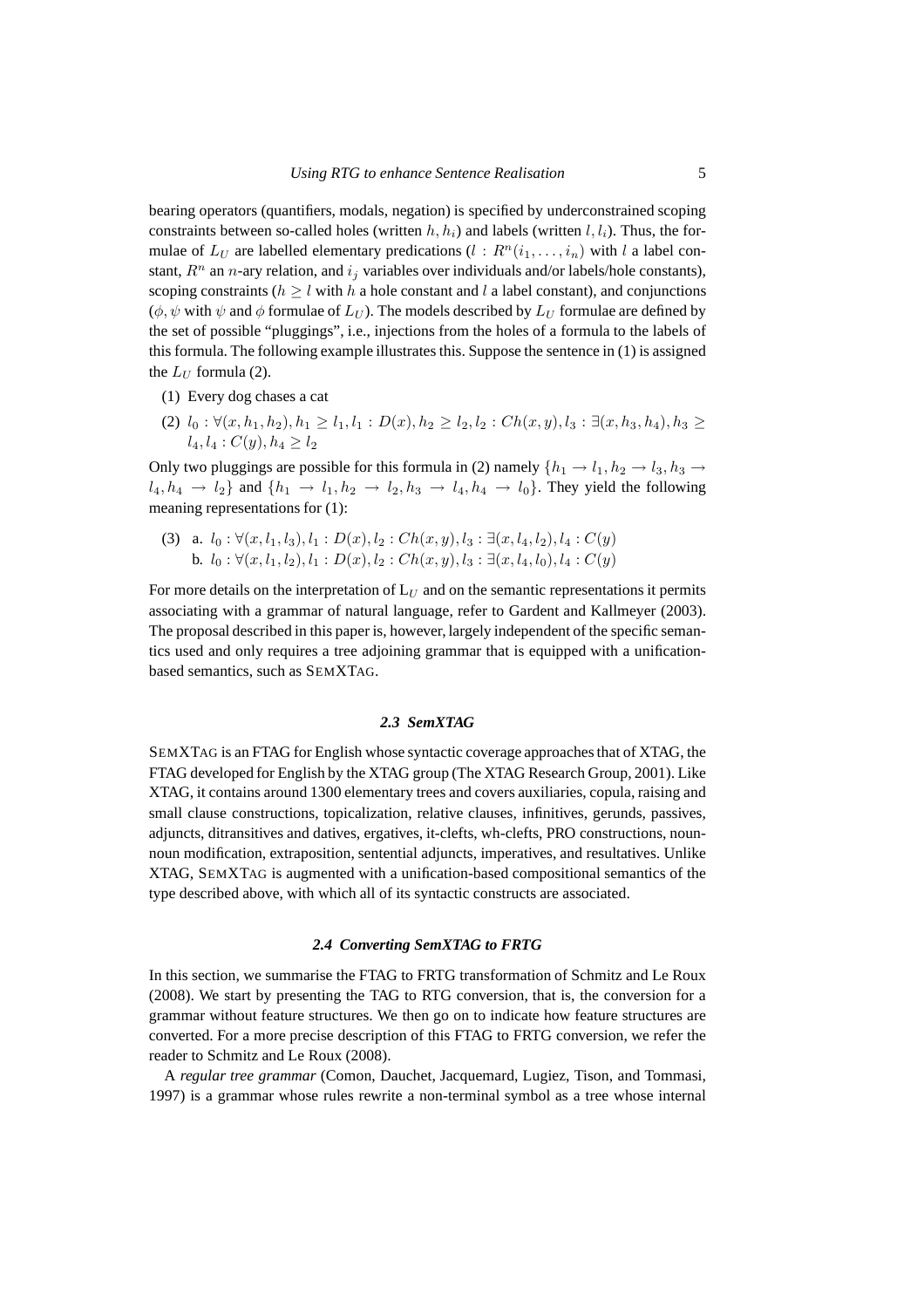bearing operators (quantifiers, modals, negation) is specified by underconstrained scoping constraints between so-called holes (written  $h, h_i$ ) and labels (written  $l, l_i$ ). Thus, the formulae of  $L_U$  are labelled elementary predications  $(l : R^n(i_1, \ldots, i_n)$  with l a label constant,  $R^n$  an *n*-ary relation, and  $i_j$  variables over individuals and/or labels/hole constants), scoping constraints ( $h > l$  with h a hole constant and l a label constant), and conjunctions  $(\phi, \psi \text{ with } \psi \text{ and } \phi \text{ formulae of } L_U)$ . The models described by  $L_U$  formulae are defined by the set of possible "pluggings", i.e., injections from the holes of a formula to the labels of this formula. The following example illustrates this. Suppose the sentence in (1) is assigned the  $L_U$  formula (2).

- (1) Every dog chases a cat
- (2)  $l_0 : \forall (x, h_1, h_2), h_1 \geq l_1, l_1 : D(x), h_2 \geq l_2, l_2 : Ch(x, y), l_3 : \exists (x, h_3, h_4), h_3 \geq$  $l_4, l_4 : C(y), h_4 \geq l_2$

Only two pluggings are possible for this formula in (2) namely  $\{h_1 \rightarrow l_1, h_2 \rightarrow l_3, h_3 \rightarrow l_4, h_4 \rightarrow l_5, h_6 \rightarrow l_6, h_7 \rightarrow l_7, h_8 \rightarrow l_8, h_9 \rightarrow l_9, h_9 \rightarrow l_9, h_1 \rightarrow l_1, h_2 \rightarrow l_3, h_3 \rightarrow l_4, h_4 \rightarrow l_4, h_5 \rightarrow l_4, h_6 \rightarrow l_5, h_7 \rightarrow l_6, h_8 \rightarrow l_6, h_$  $l_4, h_4 \rightarrow l_2$  and  $\{h_1 \rightarrow l_1, h_2 \rightarrow l_2, h_3 \rightarrow l_4, h_4 \rightarrow l_0\}$ . They yield the following meaning representations for (1):

(3) a.  $l_0 : \forall (x, l_1, l_3), l_1 : D(x), l_2 : Ch(x, y), l_3 : \exists (x, l_4, l_2), l_4 : C(y)$ b.  $l_0 : \forall (x, l_1, l_2), l_1 : D(x), l_2 : Ch(x, y), l_3 : \exists (x, l_4, l_0), l_4 : C(y)$ 

For more details on the interpretation of  $L_U$  and on the semantic representations it permits associating with a grammar of natural language, refer to Gardent and Kallmeyer (2003). The proposal described in this paper is, however, largely independent of the specific semantics used and only requires a tree adjoining grammar that is equipped with a unificationbased semantics, such as SEMXTAG.

# *2.3 SemXTAG*

SEMXTAG is an FTAG for English whose syntactic coverage approaches that of XTAG, the FTAG developed for English by the XTAG group (The XTAG Research Group, 2001). Like XTAG, it contains around 1300 elementary trees and covers auxiliaries, copula, raising and small clause constructions, topicalization, relative clauses, infinitives, gerunds, passives, adjuncts, ditransitives and datives, ergatives, it-clefts, wh-clefts, PRO constructions, nounnoun modification, extraposition, sentential adjuncts, imperatives, and resultatives. Unlike XTAG, SEMXTAG is augmented with a unification-based compositional semantics of the type described above, with which all of its syntactic constructs are associated.

#### *2.4 Converting SemXTAG to FRTG*

In this section, we summarise the FTAG to FRTG transformation of Schmitz and Le Roux (2008). We start by presenting the TAG to RTG conversion, that is, the conversion for a grammar without feature structures. We then go on to indicate how feature structures are converted. For a more precise description of this FTAG to FRTG conversion, we refer the reader to Schmitz and Le Roux (2008).

A *regular tree grammar* (Comon, Dauchet, Jacquemard, Lugiez, Tison, and Tommasi, 1997) is a grammar whose rules rewrite a non-terminal symbol as a tree whose internal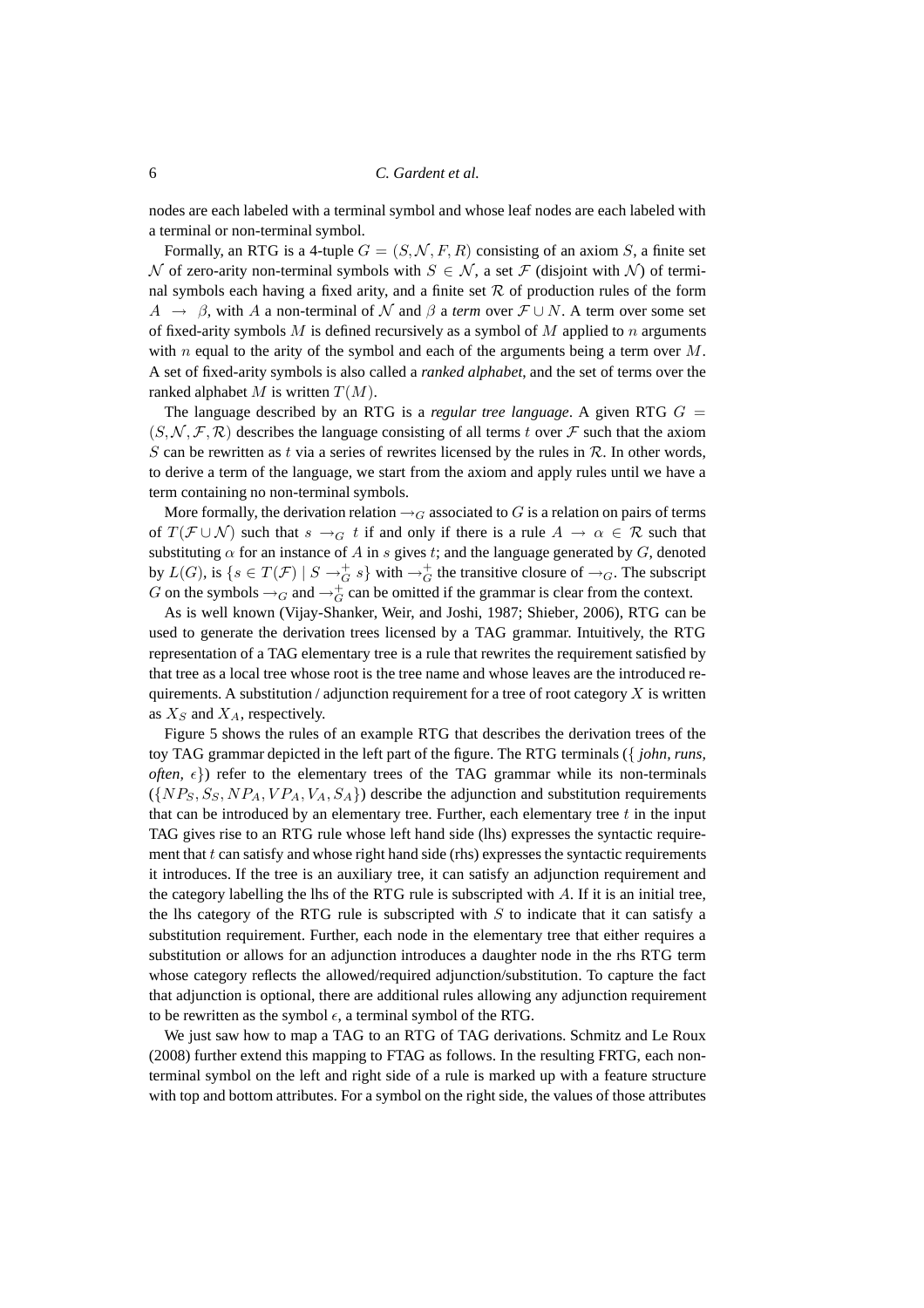nodes are each labeled with a terminal symbol and whose leaf nodes are each labeled with a terminal or non-terminal symbol.

Formally, an RTG is a 4-tuple  $G = (S, \mathcal{N}, F, R)$  consisting of an axiom S, a finite set N of zero-arity non-terminal symbols with  $S \in \mathcal{N}$ , a set  $\mathcal{F}$  (disjoint with N) of terminal symbols each having a fixed arity, and a finite set  $R$  of production rules of the form  $A \rightarrow \beta$ , with A a non-terminal of N and  $\beta$  a *term* over  $\mathcal{F} \cup N$ . A term over some set of fixed-arity symbols  $M$  is defined recursively as a symbol of  $M$  applied to  $n$  arguments with  $n$  equal to the arity of the symbol and each of the arguments being a term over  $M$ . A set of fixed-arity symbols is also called a *ranked alphabet*, and the set of terms over the ranked alphabet M is written  $T(M)$ .

The language described by an RTG is a *regular tree language*. A given RTG  $G =$  $(S, \mathcal{N}, \mathcal{F}, \mathcal{R})$  describes the language consisting of all terms t over  $\mathcal{F}$  such that the axiom S can be rewritten as t via a series of rewrites licensed by the rules in  $R$ . In other words, to derive a term of the language, we start from the axiom and apply rules until we have a term containing no non-terminal symbols.

More formally, the derivation relation  $\rightarrow_G$  associated to G is a relation on pairs of terms of  $T(\mathcal{F} \cup \mathcal{N})$  such that  $s \to_{G} t$  if and only if there is a rule  $A \to \alpha \in \mathcal{R}$  such that substituting  $\alpha$  for an instance of A in s gives t; and the language generated by G, denoted by  $L(G)$ , is  $\{s \in T(\mathcal{F}) \mid S \to_G^+ s\}$  with  $\to_G^+$  the transitive closure of  $\to_G$ . The subscript G on the symbols  $\rightarrow_G$  and  $\rightarrow_G^+$  can be omitted if the grammar is clear from the context.

As is well known (Vijay-Shanker, Weir, and Joshi, 1987; Shieber, 2006), RTG can be used to generate the derivation trees licensed by a TAG grammar. Intuitively, the RTG representation of a TAG elementary tree is a rule that rewrites the requirement satisfied by that tree as a local tree whose root is the tree name and whose leaves are the introduced requirements. A substitution / adjunction requirement for a tree of root category  $X$  is written as  $X_S$  and  $X_A$ , respectively.

Figure 5 shows the rules of an example RTG that describes the derivation trees of the toy TAG grammar depicted in the left part of the figure. The RTG terminals ({ *john, runs, often,*  $\epsilon$ }) refer to the elementary trees of the TAG grammar while its non-terminals  $({\{NP_{S}, S_{S}, NP_{A}, VP_{A}, V_{A}, S_{A}\}})$  describe the adjunction and substitution requirements that can be introduced by an elementary tree. Further, each elementary tree  $t$  in the input TAG gives rise to an RTG rule whose left hand side (lhs) expresses the syntactic requirement that  $t$  can satisfy and whose right hand side (rhs) expresses the syntactic requirements it introduces. If the tree is an auxiliary tree, it can satisfy an adjunction requirement and the category labelling the lhs of the RTG rule is subscripted with  $A$ . If it is an initial tree, the lhs category of the RTG rule is subscripted with  $S$  to indicate that it can satisfy a substitution requirement. Further, each node in the elementary tree that either requires a substitution or allows for an adjunction introduces a daughter node in the rhs RTG term whose category reflects the allowed/required adjunction/substitution. To capture the fact that adjunction is optional, there are additional rules allowing any adjunction requirement to be rewritten as the symbol  $\epsilon$ , a terminal symbol of the RTG.

We just saw how to map a TAG to an RTG of TAG derivations. Schmitz and Le Roux (2008) further extend this mapping to FTAG as follows. In the resulting FRTG, each nonterminal symbol on the left and right side of a rule is marked up with a feature structure with top and bottom attributes. For a symbol on the right side, the values of those attributes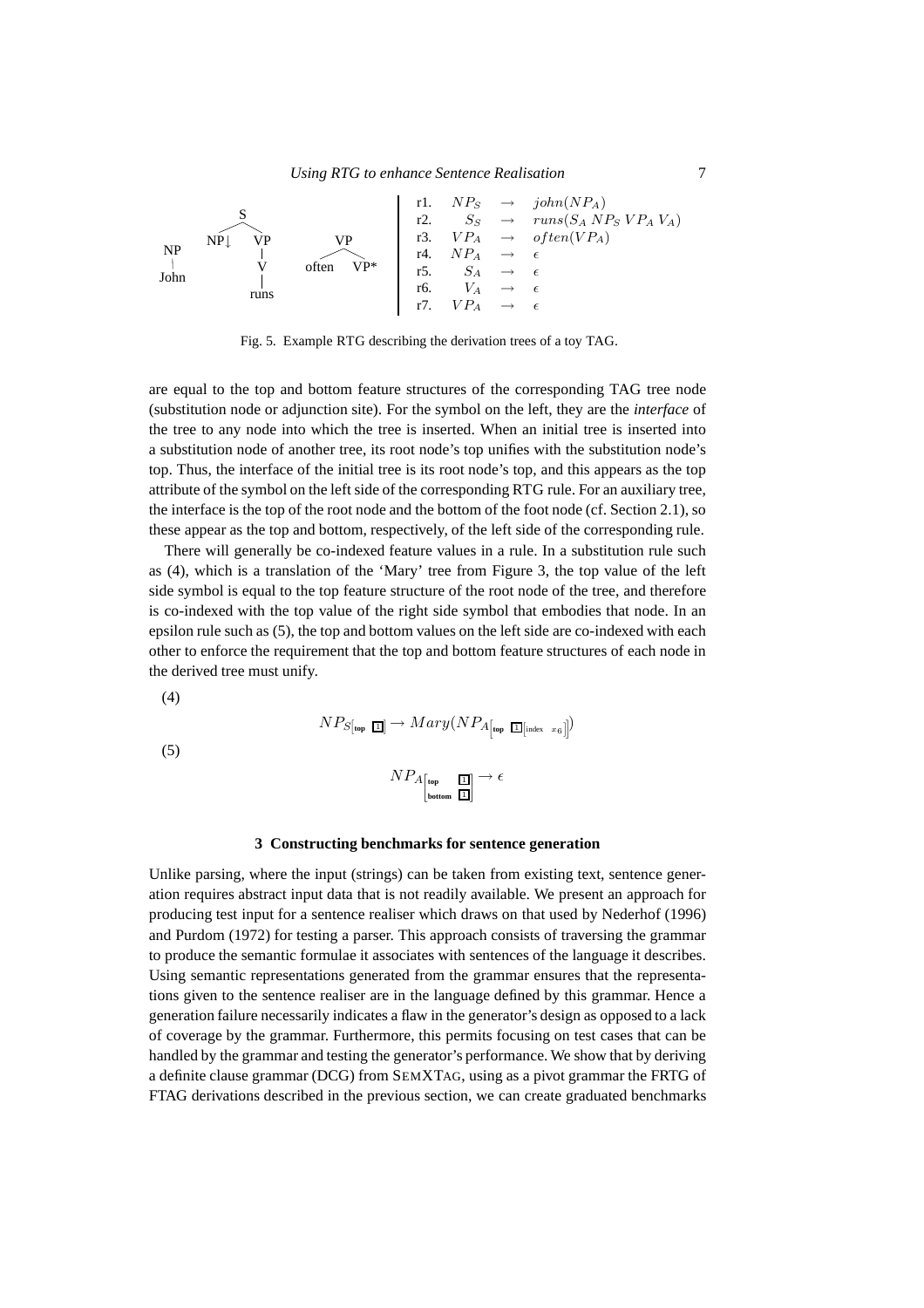

Fig. 5. Example RTG describing the derivation trees of a toy TAG.

are equal to the top and bottom feature structures of the corresponding TAG tree node (substitution node or adjunction site). For the symbol on the left, they are the *interface* of the tree to any node into which the tree is inserted. When an initial tree is inserted into a substitution node of another tree, its root node's top unifies with the substitution node's top. Thus, the interface of the initial tree is its root node's top, and this appears as the top attribute of the symbol on the left side of the corresponding RTG rule. For an auxiliary tree, the interface is the top of the root node and the bottom of the foot node (cf. Section 2.1), so these appear as the top and bottom, respectively, of the left side of the corresponding rule.

There will generally be co-indexed feature values in a rule. In a substitution rule such as (4), which is a translation of the 'Mary' tree from Figure 3, the top value of the left side symbol is equal to the top feature structure of the root node of the tree, and therefore is co-indexed with the top value of the right side symbol that embodies that node. In an epsilon rule such as (5), the top and bottom values on the left side are co-indexed with each other to enforce the requirement that the top and bottom feature structures of each node in the derived tree must unify.

(4)

$$
N P_{S[\text{top I}]} \to Mary(N P_{A[\text{top I}]_{\text{index } x_6}])
$$

(5)

$$
NP_{A_{\begin{bmatrix}\text{top}\\\text{bottom}\end{bmatrix}}}\to \epsilon
$$

#### **3 Constructing benchmarks for sentence generation**

Unlike parsing, where the input (strings) can be taken from existing text, sentence generation requires abstract input data that is not readily available. We present an approach for producing test input for a sentence realiser which draws on that used by Nederhof (1996) and Purdom (1972) for testing a parser. This approach consists of traversing the grammar to produce the semantic formulae it associates with sentences of the language it describes. Using semantic representations generated from the grammar ensures that the representations given to the sentence realiser are in the language defined by this grammar. Hence a generation failure necessarily indicates a flaw in the generator's design as opposed to a lack of coverage by the grammar. Furthermore, this permits focusing on test cases that can be handled by the grammar and testing the generator's performance. We show that by deriving a definite clause grammar (DCG) from SEMXTAG, using as a pivot grammar the FRTG of FTAG derivations described in the previous section, we can create graduated benchmarks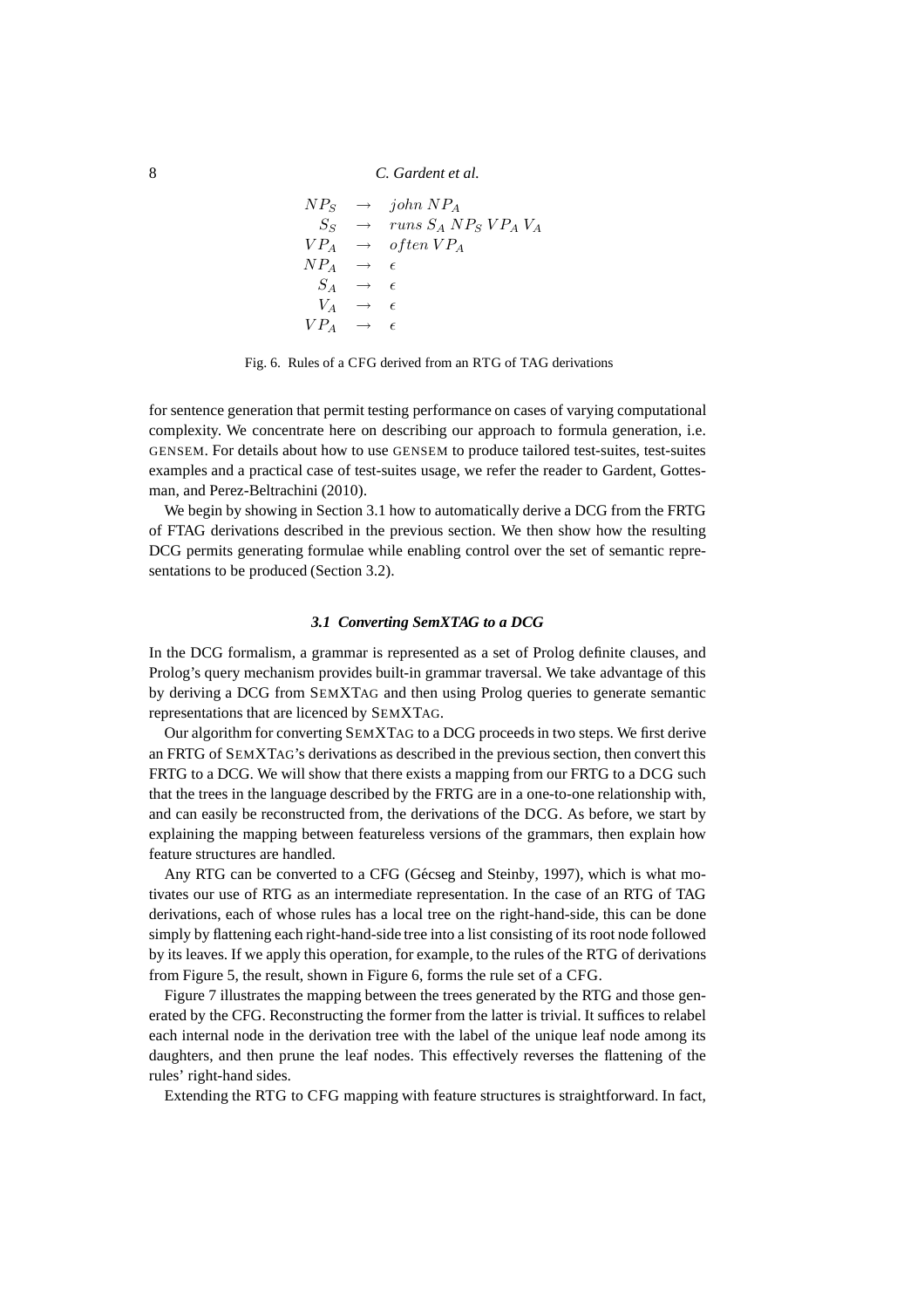$$
NP_S \rightarrow john NP_A
$$
  
\n
$$
S_S \rightarrow runs S_A N P_S VP_A V_A
$$
  
\n
$$
VP_A \rightarrow often VP_A
$$
  
\n
$$
NP_A \rightarrow \epsilon
$$
  
\n
$$
V_A \rightarrow \epsilon
$$
  
\n
$$
VP_A \rightarrow \epsilon
$$

Fig. 6. Rules of a CFG derived from an RTG of TAG derivations

for sentence generation that permit testing performance on cases of varying computational complexity. We concentrate here on describing our approach to formula generation, i.e. GENSEM. For details about how to use GENSEM to produce tailored test-suites, test-suites examples and a practical case of test-suites usage, we refer the reader to Gardent, Gottesman, and Perez-Beltrachini (2010).

We begin by showing in Section 3.1 how to automatically derive a DCG from the FRTG of FTAG derivations described in the previous section. We then show how the resulting DCG permits generating formulae while enabling control over the set of semantic representations to be produced (Section 3.2).

### *3.1 Converting SemXTAG to a DCG*

In the DCG formalism, a grammar is represented as a set of Prolog definite clauses, and Prolog's query mechanism provides built-in grammar traversal. We take advantage of this by deriving a DCG from SEMXTAG and then using Prolog queries to generate semantic representations that are licenced by SEMXTAG.

Our algorithm for converting SEMXTAG to a DCG proceeds in two steps. We first derive an FRTG of SEMXTAG's derivations as described in the previous section, then convert this FRTG to a DCG. We will show that there exists a mapping from our FRTG to a DCG such that the trees in the language described by the FRTG are in a one-to-one relationship with, and can easily be reconstructed from, the derivations of the DCG. As before, we start by explaining the mapping between featureless versions of the grammars, then explain how feature structures are handled.

Any RTG can be converted to a CFG (Gécseg and Steinby, 1997), which is what motivates our use of RTG as an intermediate representation. In the case of an RTG of TAG derivations, each of whose rules has a local tree on the right-hand-side, this can be done simply by flattening each right-hand-side tree into a list consisting of its root node followed by its leaves. If we apply this operation, for example, to the rules of the RTG of derivations from Figure 5, the result, shown in Figure 6, forms the rule set of a CFG.

Figure 7 illustrates the mapping between the trees generated by the RTG and those generated by the CFG. Reconstructing the former from the latter is trivial. It suffices to relabel each internal node in the derivation tree with the label of the unique leaf node among its daughters, and then prune the leaf nodes. This effectively reverses the flattening of the rules' right-hand sides.

Extending the RTG to CFG mapping with feature structures is straightforward. In fact,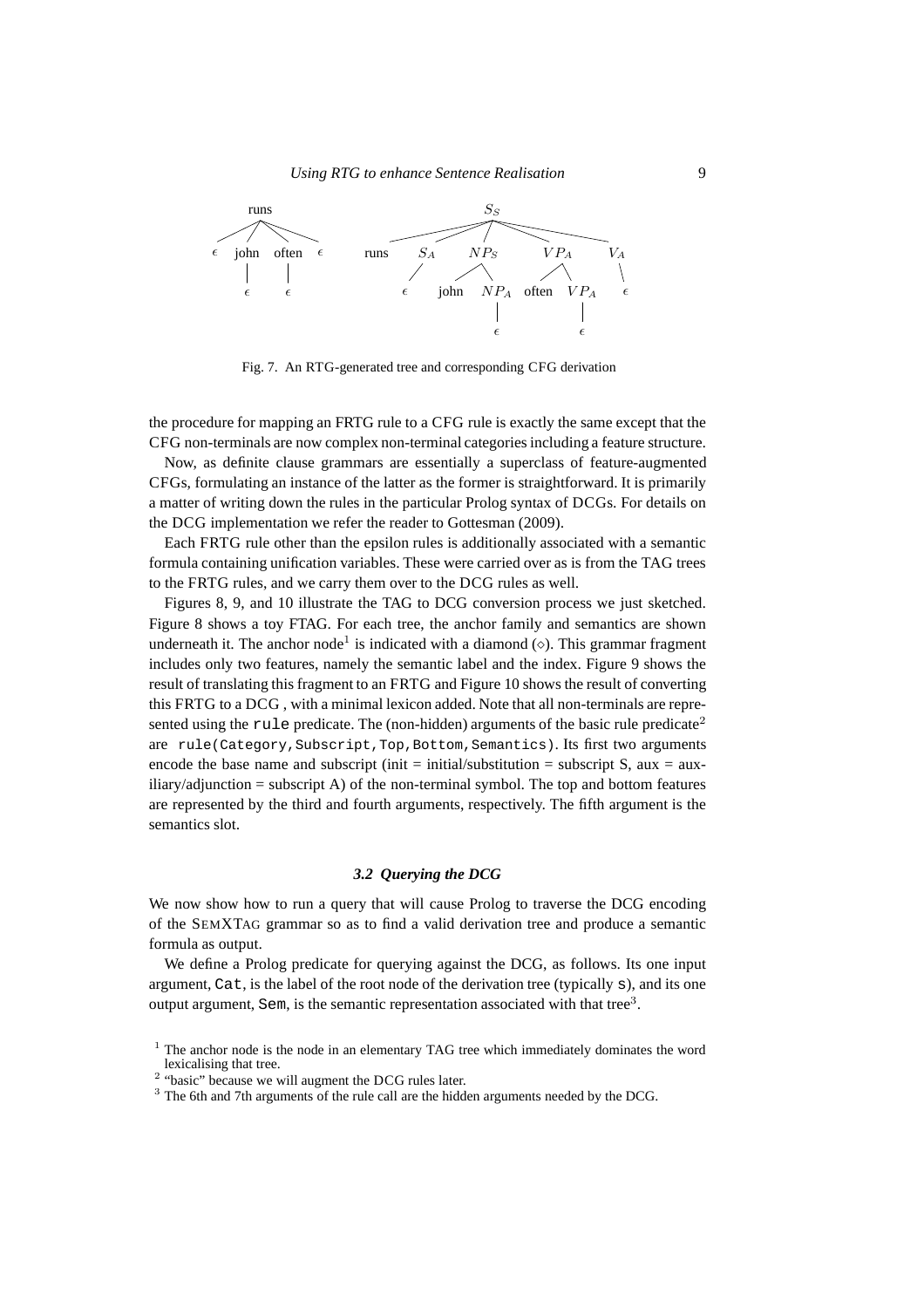

Fig. 7. An RTG-generated tree and corresponding CFG derivation

the procedure for mapping an FRTG rule to a CFG rule is exactly the same except that the CFG non-terminals are now complex non-terminal categories including a feature structure.

Now, as definite clause grammars are essentially a superclass of feature-augmented CFGs, formulating an instance of the latter as the former is straightforward. It is primarily a matter of writing down the rules in the particular Prolog syntax of DCGs. For details on the DCG implementation we refer the reader to Gottesman (2009).

Each FRTG rule other than the epsilon rules is additionally associated with a semantic formula containing unification variables. These were carried over as is from the TAG trees to the FRTG rules, and we carry them over to the DCG rules as well.

Figures 8, 9, and 10 illustrate the TAG to DCG conversion process we just sketched. Figure 8 shows a toy FTAG. For each tree, the anchor family and semantics are shown underneath it. The anchor node<sup>1</sup> is indicated with a diamond  $(\diamond)$ . This grammar fragment includes only two features, namely the semantic label and the index. Figure 9 shows the result of translating this fragment to an FRTG and Figure 10 shows the result of converting this FRTG to a DCG , with a minimal lexicon added. Note that all non-terminals are represented using the rule predicate. The (non-hidden) arguments of the basic rule predicate<sup>2</sup> are rule(Category, Subscript, Top, Bottom, Semantics). Its first two arguments encode the base name and subscript (init  $=$  initial/substitution  $=$  subscript S, aux  $=$  aux- $\text{iliary}/\text{adjunction} = \text{subscript A}$  of the non-terminal symbol. The top and bottom features are represented by the third and fourth arguments, respectively. The fifth argument is the semantics slot.

# *3.2 Querying the DCG*

We now show how to run a query that will cause Prolog to traverse the DCG encoding of the SEMXTAG grammar so as to find a valid derivation tree and produce a semantic formula as output.

We define a Prolog predicate for querying against the DCG, as follows. Its one input argument, Cat, is the label of the root node of the derivation tree (typically s), and its one output argument, Sem, is the semantic representation associated with that tree<sup>3</sup>.

<sup>&</sup>lt;sup>1</sup> The anchor node is the node in an elementary TAG tree which immediately dominates the word lexicalising that tree.

<sup>&</sup>lt;sup>2</sup> "basic" because we will augment the DCG rules later.

<sup>3</sup> The 6th and 7th arguments of the rule call are the hidden arguments needed by the DCG.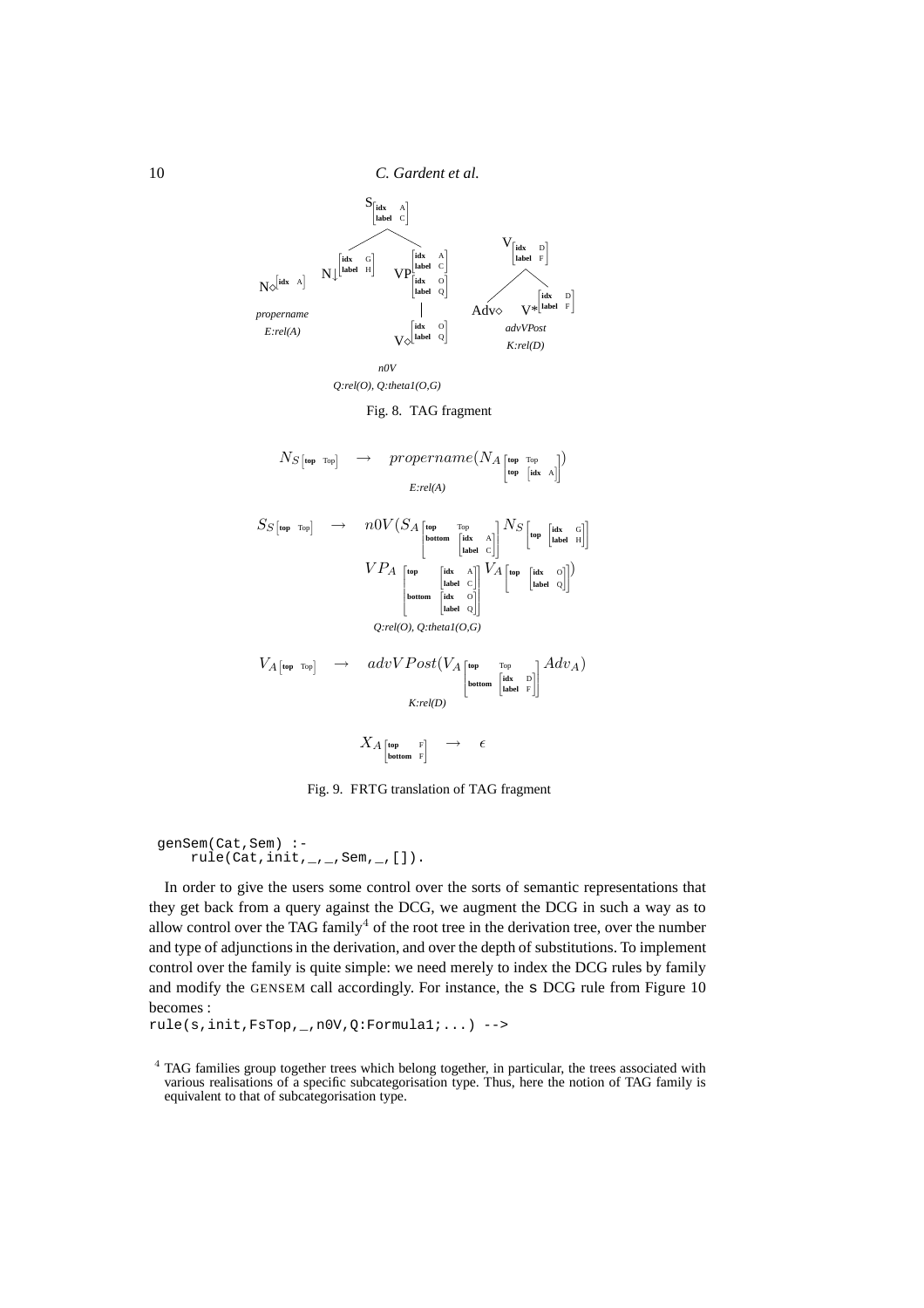



Fig. 8. TAG fragment

N<sup>S</sup> **top** Top<sup>i</sup> → propername(N<sup>A</sup> 2 4 **top** Top **top** h **idx** A 3 5 ) *E:rel(A)* S<sup>S</sup> **top** Top<sup>i</sup> → n0V (S<sup>A</sup> 2 6 6 4 **top** Top **bottom** " **idx** A **label** C # 3 7 7 5 N<sup>S</sup> 2 <sup>4</sup>**top** " **idx** G **label** H #3 5 V P<sup>A</sup> 2 6 6 6 6 6 4 **top** " **idx** A **label** C # **bottom** " **idx** O **label** Q # 3 7 7 7 7 7 5 V<sup>A</sup> 2 4 **top** " **idx** O **label** Q #3 5 ) *Q:rel(O), Q:theta1(O,G)* V<sup>A</sup> **top** Top<sup>i</sup> → advV Post(V<sup>A</sup> 2 6 6 4 **top** Top **bottom** " **idx** D **label** F # 3 7 7 5 AdvA) *K:rel(D)* X<sup>A</sup> " **top** F **bottom** F # → ǫ

Fig. 9. FRTG translation of TAG fragment

```
genSem(Cat,Sem) :-
    rule(Cat,init,_,_,Sem,_,[]).
```
In order to give the users some control over the sorts of semantic representations that they get back from a query against the DCG, we augment the DCG in such a way as to allow control over the TAG family<sup>4</sup> of the root tree in the derivation tree, over the number and type of adjunctions in the derivation, and over the depth of substitutions. To implement control over the family is quite simple: we need merely to index the DCG rules by family and modify the GENSEM call accordingly. For instance, the s DCG rule from Figure 10 becomes :

```
rule(s,init,FsTop,_,n0V,Q:Formula1;...) -->
```
<sup>&</sup>lt;sup>4</sup> TAG families group together trees which belong together, in particular, the trees associated with various realisations of a specific subcategorisation type. Thus, here the notion of TAG family is equivalent to that of subcategorisation type.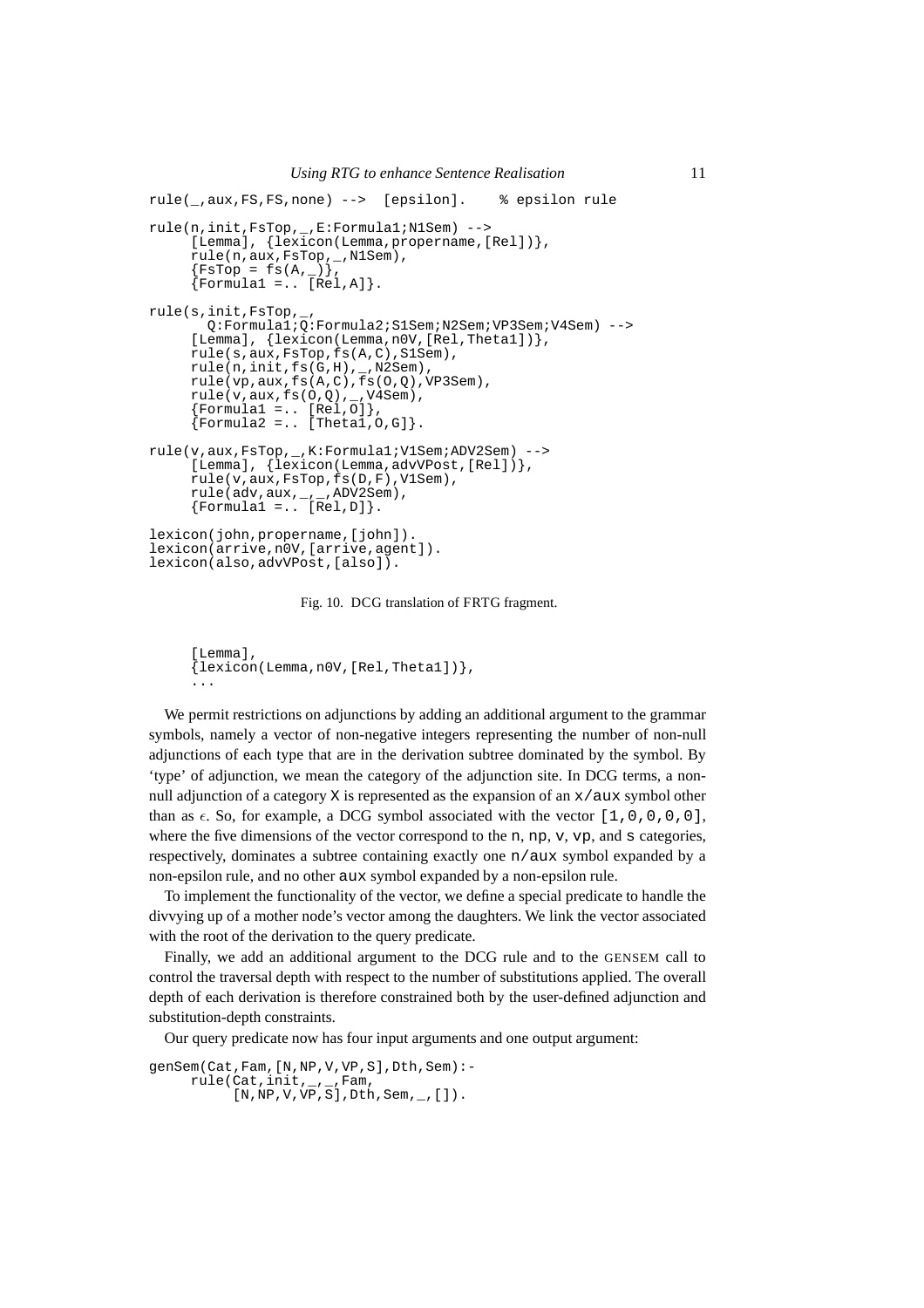```
rule(_,aux,FS,FS,none) --> [epsilon]. % epsilon rule
rule(n,init,FsTop,_,E:Formula1;N1Sem) -->
     [Lemma], \{lexicon(Lemma, propername, [Rel])\},
     rule(n,aux,FsTop,<sub>.</sub>_,N1Sem),
     {FSTop = fs(A, _{\_})},{Formula1 = . [Rel,A]}.
rule(s,init,FsTop,_,
       Q:Formula1;Q:Formula2;S1Sem;N2Sem;VP3Sem;V4Sem) -->
     [Lemma], \{lexicon(Lemma, n0V, [Rel,Theta1])\},rule(s,aux,FsTop,fs(A,C),S1Sem),
     rule(n,init,fs(G,H),_,N2Sem),
     rule(vp,aux,fs(A,C),fs(O,Q),VP3Sem),
     rule(v,aux,fs(0,Q), _{r}N4Sem),{Formula1 = . [Rel, 0]},{Formula2 = .. [Theta1, 0, G]},rule(v,aux,FsTop,_,K:Formula1;V1Sem;ADV2Sem) -->
     [Lemma], \{\bar{\text{lexicon}}(\text{Lemma}, \text{advVPost}, [\text{Rel}])\},
     rule(v,aux,FsTop,fs(D,F),V1Sem),
     rule(adv,aux,_,_,ADV2Sem),
     {Formula1 = . [Rel,D]}.
lexicon(john,propername,[john]).
lexicon(arrive,n0V,[arrive,agent]).
lexicon(also,advVPost,[also]).
```
Fig. 10. DCG translation of FRTG fragment.

```
[Lemma].
{lexicon(Lemma,n0V,[Rel,Theta1])},
...
```
We permit restrictions on adjunctions by adding an additional argument to the grammar symbols, namely a vector of non-negative integers representing the number of non-null adjunctions of each type that are in the derivation subtree dominated by the symbol. By 'type' of adjunction, we mean the category of the adjunction site. In DCG terms, a nonnull adjunction of a category X is represented as the expansion of an  $x/aux$  symbol other than as  $\epsilon$ . So, for example, a DCG symbol associated with the vector  $[1,0,0,0,0]$ , where the five dimensions of the vector correspond to the n, np, v, vp, and s categories, respectively, dominates a subtree containing exactly one n/aux symbol expanded by a non-epsilon rule, and no other aux symbol expanded by a non-epsilon rule.

To implement the functionality of the vector, we define a special predicate to handle the divvying up of a mother node's vector among the daughters. We link the vector associated with the root of the derivation to the query predicate.

Finally, we add an additional argument to the DCG rule and to the GENSEM call to control the traversal depth with respect to the number of substitutions applied. The overall depth of each derivation is therefore constrained both by the user-defined adjunction and substitution-depth constraints.

Our query predicate now has four input arguments and one output argument:

```
genSem(Cat,Fam, [N,NP, V, VP, S], Dth, Sem):-
      rule(Cat,init,_,_,Fam,
            [N,NP,V,VP,S], Dth, Sem, _{\_}, [ ] ).
```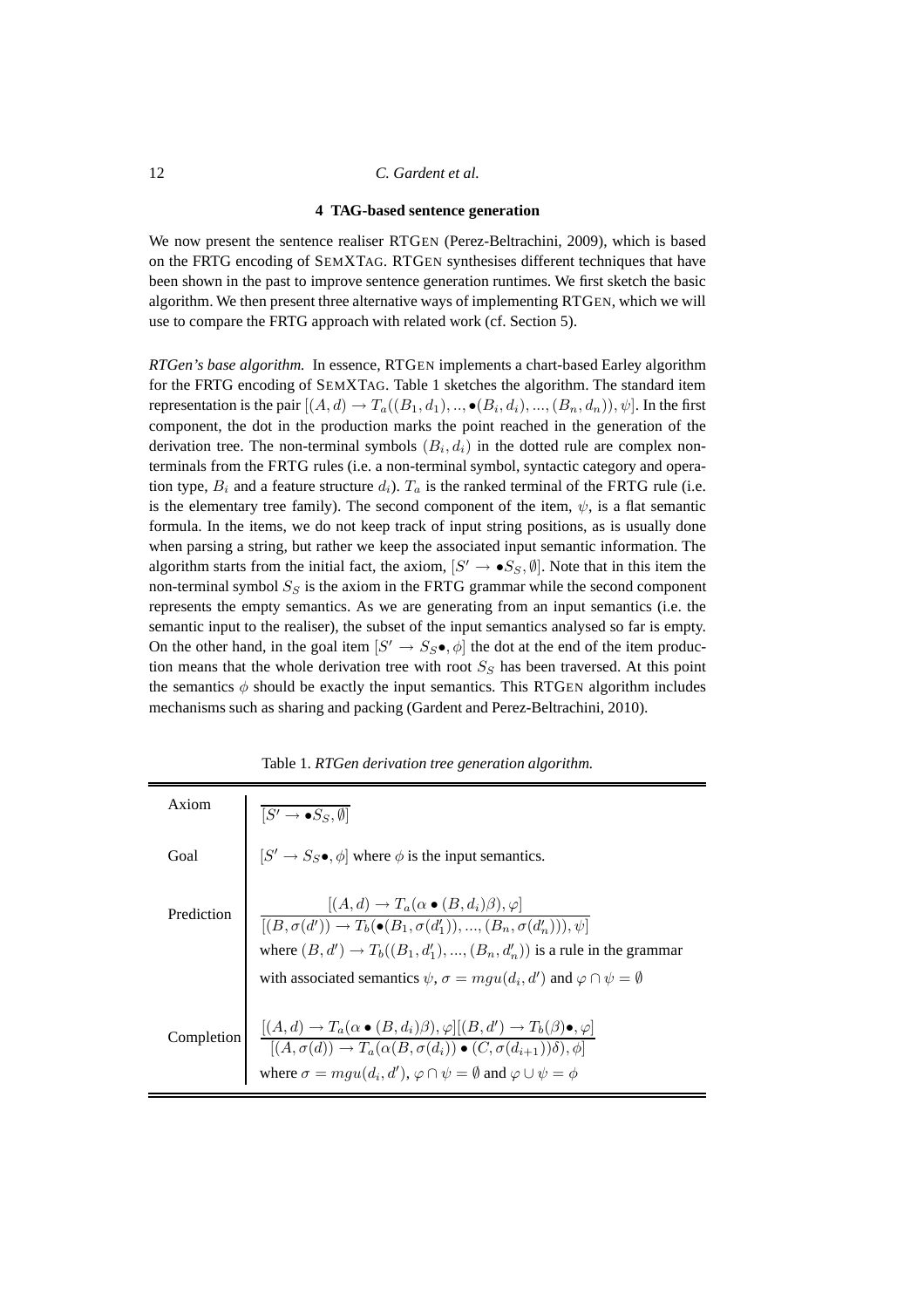#### **4 TAG-based sentence generation**

We now present the sentence realiser RTGEN (Perez-Beltrachini, 2009), which is based on the FRTG encoding of SEMXTAG. RTGEN synthesises different techniques that have been shown in the past to improve sentence generation runtimes. We first sketch the basic algorithm. We then present three alternative ways of implementing RTGEN, which we will use to compare the FRTG approach with related work (cf. Section 5).

*RTGen's base algorithm.* In essence, RTGEN implements a chart-based Earley algorithm for the FRTG encoding of SEMXTAG. Table 1 sketches the algorithm. The standard item representation is the pair  $[(A,d) \rightarrow T_a((B_1,d_1),.., \bullet (B_i,d_i),...,(B_n,d_n)), \psi].$  In the first component, the dot in the production marks the point reached in the generation of the derivation tree. The non-terminal symbols  $(B_i, d_i)$  in the dotted rule are complex nonterminals from the FRTG rules (i.e. a non-terminal symbol, syntactic category and operation type,  $B_i$  and a feature structure  $d_i$ ).  $T_a$  is the ranked terminal of the FRTG rule (i.e. is the elementary tree family). The second component of the item,  $\psi$ , is a flat semantic formula. In the items, we do not keep track of input string positions, as is usually done when parsing a string, but rather we keep the associated input semantic information. The algorithm starts from the initial fact, the axiom,  $[S' \to \bullet S_S, \emptyset]$ . Note that in this item the non-terminal symbol  $S_S$  is the axiom in the FRTG grammar while the second component represents the empty semantics. As we are generating from an input semantics (i.e. the semantic input to the realiser), the subset of the input semantics analysed so far is empty. On the other hand, in the goal item  $[S' \to S_S \bullet, \phi]$  the dot at the end of the item production means that the whole derivation tree with root  $S<sub>S</sub>$  has been traversed. At this point the semantics  $\phi$  should be exactly the input semantics. This RTGEN algorithm includes mechanisms such as sharing and packing (Gardent and Perez-Beltrachini, 2010).

| Axiom      | $[S' \rightarrow \bullet S_S, \emptyset]$                                                                                                                                                                                                                                                                                                        |
|------------|--------------------------------------------------------------------------------------------------------------------------------------------------------------------------------------------------------------------------------------------------------------------------------------------------------------------------------------------------|
| Goal       | $[S' \rightarrow S_{S} \bullet, \phi]$ where $\phi$ is the input semantics.                                                                                                                                                                                                                                                                      |
| Prediction | $[(A,d) \rightarrow T_a(\alpha \bullet (B,d_i)\beta),\varphi]$<br>$[(B, \sigma(d')) \to T_b(\bullet(B_1, \sigma(d'_1)), , (B_n, \sigma(d'_n))), \psi]$<br>where $(B, d') \rightarrow T_b((B_1, d'_1), , (B_n, d'_n))$ is a rule in the grammar<br>with associated semantics $\psi$ , $\sigma = mgu(d_i, d')$ and $\varphi \cap \psi = \emptyset$ |
| Completion | $[(A,d) \rightarrow T_a(\alpha \bullet (B,d_i)\beta), \varphi][(B,d') \rightarrow T_b(\beta) \bullet, \varphi]$<br>$[(A,\sigma(d)) \rightarrow T_a(\alpha(B,\sigma(d_i)) \bullet (C,\sigma(d_{i+1}))\delta), \varphi]$<br>where $\sigma = mgu(d_i, d'), \varphi \cap \psi = \emptyset$ and $\varphi \cup \psi = \phi$                            |

|  |  |  |  | Table 1. RTGen derivation tree generation algorithm. |  |
|--|--|--|--|------------------------------------------------------|--|
|--|--|--|--|------------------------------------------------------|--|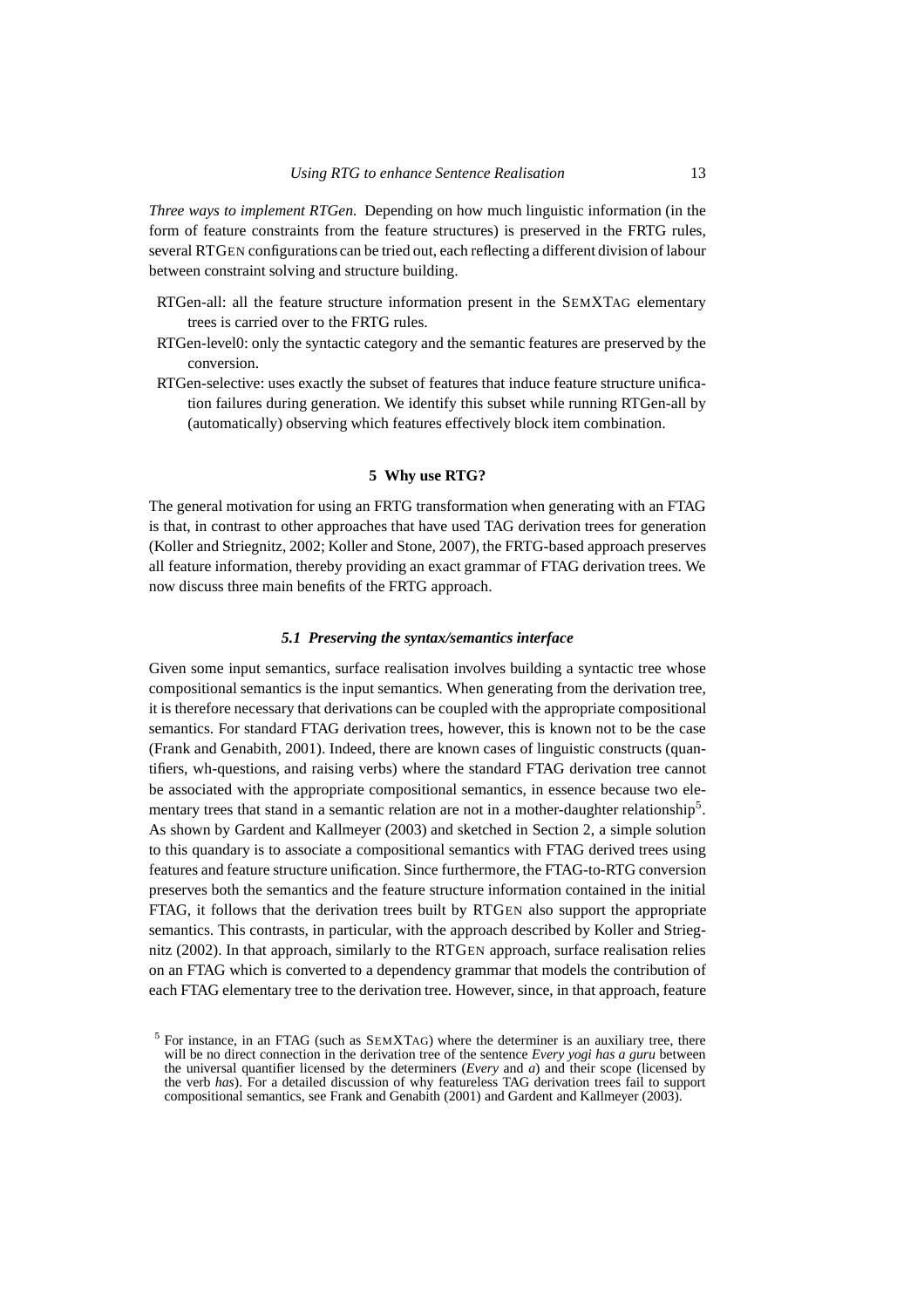*Three ways to implement RTGen.* Depending on how much linguistic information (in the form of feature constraints from the feature structures) is preserved in the FRTG rules, several RTGEN configurations can be tried out, each reflecting a different division of labour between constraint solving and structure building.

- RTGen-all: all the feature structure information present in the SEMXTAG elementary trees is carried over to the FRTG rules.
- RTGen-level0: only the syntactic category and the semantic features are preserved by the conversion.
- RTGen-selective: uses exactly the subset of features that induce feature structure unification failures during generation. We identify this subset while running RTGen-all by (automatically) observing which features effectively block item combination.

# **5 Why use RTG?**

The general motivation for using an FRTG transformation when generating with an FTAG is that, in contrast to other approaches that have used TAG derivation trees for generation (Koller and Striegnitz, 2002; Koller and Stone, 2007), the FRTG-based approach preserves all feature information, thereby providing an exact grammar of FTAG derivation trees. We now discuss three main benefits of the FRTG approach.

# *5.1 Preserving the syntax/semantics interface*

Given some input semantics, surface realisation involves building a syntactic tree whose compositional semantics is the input semantics. When generating from the derivation tree, it is therefore necessary that derivations can be coupled with the appropriate compositional semantics. For standard FTAG derivation trees, however, this is known not to be the case (Frank and Genabith, 2001). Indeed, there are known cases of linguistic constructs (quantifiers, wh-questions, and raising verbs) where the standard FTAG derivation tree cannot be associated with the appropriate compositional semantics, in essence because two elementary trees that stand in a semantic relation are not in a mother-daughter relationship<sup>5</sup>. As shown by Gardent and Kallmeyer (2003) and sketched in Section 2, a simple solution to this quandary is to associate a compositional semantics with FTAG derived trees using features and feature structure unification. Since furthermore, the FTAG-to-RTG conversion preserves both the semantics and the feature structure information contained in the initial FTAG, it follows that the derivation trees built by RTGEN also support the appropriate semantics. This contrasts, in particular, with the approach described by Koller and Striegnitz (2002). In that approach, similarly to the RTGEN approach, surface realisation relies on an FTAG which is converted to a dependency grammar that models the contribution of each FTAG elementary tree to the derivation tree. However, since, in that approach, feature

 $5$  For instance, in an FTAG (such as  $SEMXTAG$ ) where the determiner is an auxiliary tree, there will be no direct connection in the derivation tree of the sentence *Every yogi has a guru* between the universal quantifier licensed by the determiners (*Every* and *a*) and their scope (licensed by the verb *has*). For a detailed discussion of why featureless TAG derivation trees fail to support compositional semantics, see Frank and Genabith (2001) and Gardent and Kallmeyer (2003).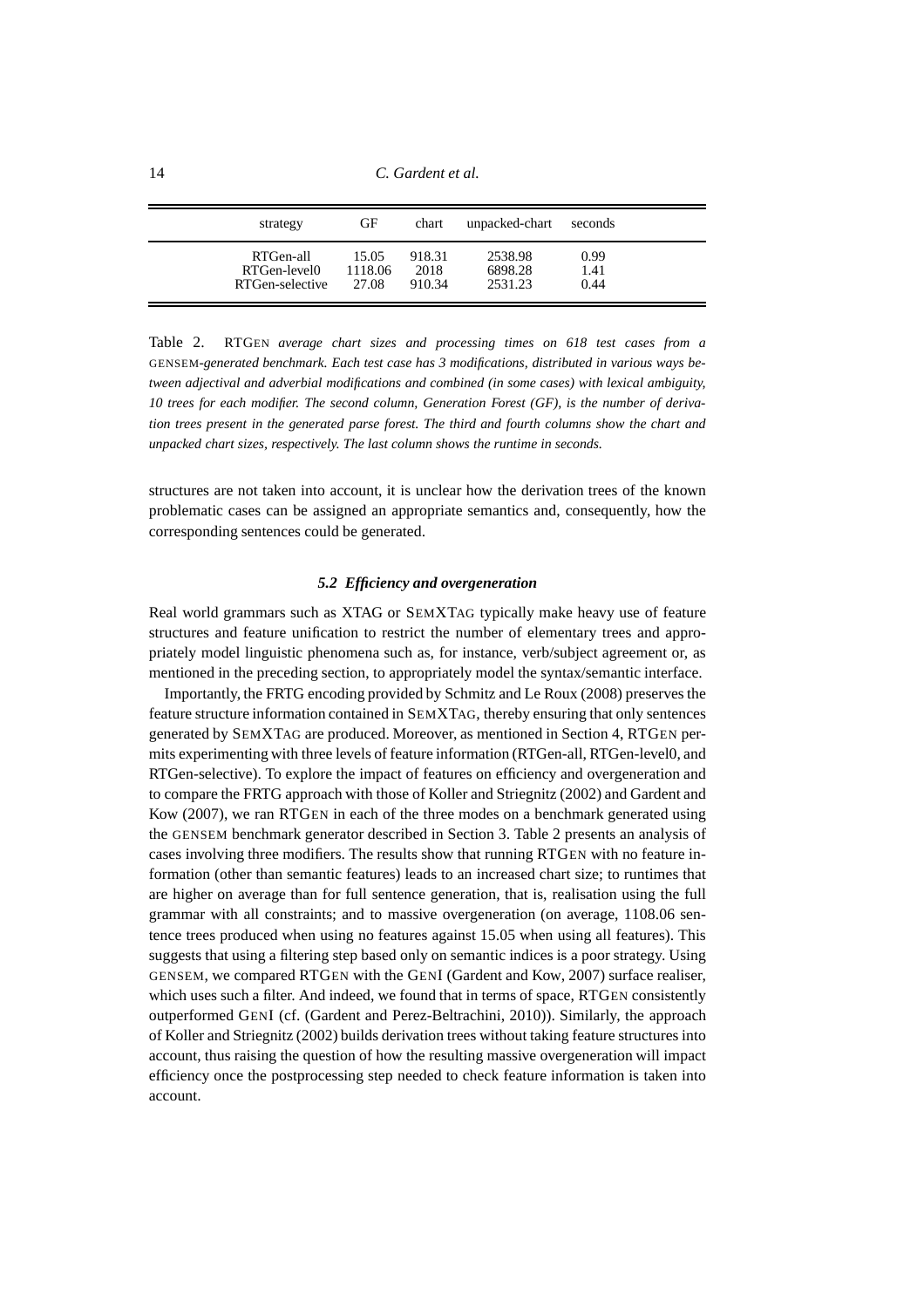14 *C. Gardent et al.*

| strategy        | GF      | chart  | unpacked-chart | seconds |
|-----------------|---------|--------|----------------|---------|
| RTGen-all       | 15.05   | 918.31 | 2538.98        | 0.99    |
| RTGen-level0    | 1118.06 | 2018   | 6898.28        | 1.41    |
| RTGen-selective | 27.08   | 910.34 | 2531.23        | 0.44    |

Table 2. RTGEN *average chart sizes and processing times on 618 test cases from a* GENSEM*-generated benchmark. Each test case has 3 modifications, distributed in various ways between adjectival and adverbial modifications and combined (in some cases) with lexical ambiguity, 10 trees for each modifier. The second column, Generation Forest (GF), is the number of derivation trees present in the generated parse forest. The third and fourth columns show the chart and unpacked chart sizes, respectively. The last column shows the runtime in seconds.*

structures are not taken into account, it is unclear how the derivation trees of the known problematic cases can be assigned an appropriate semantics and, consequently, how the corresponding sentences could be generated.

#### *5.2 Efficiency and overgeneration*

Real world grammars such as XTAG or SEMXTAG typically make heavy use of feature structures and feature unification to restrict the number of elementary trees and appropriately model linguistic phenomena such as, for instance, verb/subject agreement or, as mentioned in the preceding section, to appropriately model the syntax/semantic interface.

Importantly, the FRTG encoding provided by Schmitz and Le Roux (2008) preserves the feature structure information contained in SEMXTAG, thereby ensuring that only sentences generated by SEMXTAG are produced. Moreover, as mentioned in Section 4, RTGEN permits experimenting with three levels of feature information (RTGen-all, RTGen-level0, and RTGen-selective). To explore the impact of features on efficiency and overgeneration and to compare the FRTG approach with those of Koller and Striegnitz (2002) and Gardent and Kow (2007), we ran RTGEN in each of the three modes on a benchmark generated using the GENSEM benchmark generator described in Section 3. Table 2 presents an analysis of cases involving three modifiers. The results show that running RTGEN with no feature information (other than semantic features) leads to an increased chart size; to runtimes that are higher on average than for full sentence generation, that is, realisation using the full grammar with all constraints; and to massive overgeneration (on average, 1108.06 sentence trees produced when using no features against 15.05 when using all features). This suggests that using a filtering step based only on semantic indices is a poor strategy. Using GENSEM, we compared RTGEN with the GENI (Gardent and Kow, 2007) surface realiser, which uses such a filter. And indeed, we found that in terms of space, RTGEN consistently outperformed GENI (cf. (Gardent and Perez-Beltrachini, 2010)). Similarly, the approach of Koller and Striegnitz (2002) builds derivation trees without taking feature structures into account, thus raising the question of how the resulting massive overgeneration will impact efficiency once the postprocessing step needed to check feature information is taken into account.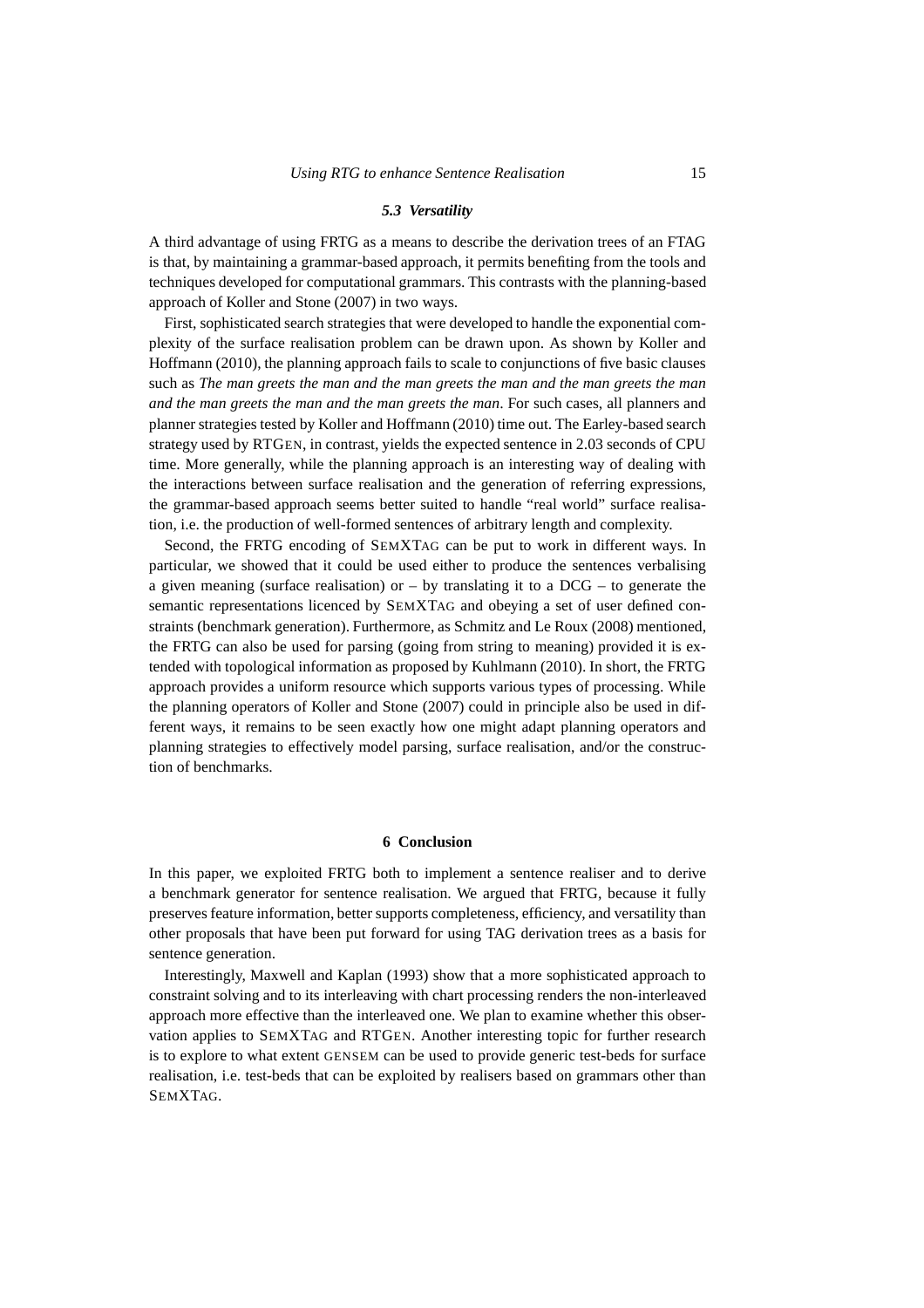#### *5.3 Versatility*

A third advantage of using FRTG as a means to describe the derivation trees of an FTAG is that, by maintaining a grammar-based approach, it permits benefiting from the tools and techniques developed for computational grammars. This contrasts with the planning-based approach of Koller and Stone (2007) in two ways.

First, sophisticated search strategies that were developed to handle the exponential complexity of the surface realisation problem can be drawn upon. As shown by Koller and Hoffmann (2010), the planning approach fails to scale to conjunctions of five basic clauses such as *The man greets the man and the man greets the man and the man greets the man and the man greets the man and the man greets the man*. For such cases, all planners and planner strategies tested by Koller and Hoffmann (2010) time out. The Earley-based search strategy used by RTGEN, in contrast, yields the expected sentence in 2.03 seconds of CPU time. More generally, while the planning approach is an interesting way of dealing with the interactions between surface realisation and the generation of referring expressions, the grammar-based approach seems better suited to handle "real world" surface realisation, i.e. the production of well-formed sentences of arbitrary length and complexity.

Second, the FRTG encoding of SEMXTAG can be put to work in different ways. In particular, we showed that it could be used either to produce the sentences verbalising a given meaning (surface realisation) or  $-$  by translating it to a DCG  $-$  to generate the semantic representations licenced by SEMXTAG and obeying a set of user defined constraints (benchmark generation). Furthermore, as Schmitz and Le Roux (2008) mentioned, the FRTG can also be used for parsing (going from string to meaning) provided it is extended with topological information as proposed by Kuhlmann (2010). In short, the FRTG approach provides a uniform resource which supports various types of processing. While the planning operators of Koller and Stone (2007) could in principle also be used in different ways, it remains to be seen exactly how one might adapt planning operators and planning strategies to effectively model parsing, surface realisation, and/or the construction of benchmarks.

# **6 Conclusion**

In this paper, we exploited FRTG both to implement a sentence realiser and to derive a benchmark generator for sentence realisation. We argued that FRTG, because it fully preserves feature information, better supports completeness, efficiency, and versatility than other proposals that have been put forward for using TAG derivation trees as a basis for sentence generation.

Interestingly, Maxwell and Kaplan (1993) show that a more sophisticated approach to constraint solving and to its interleaving with chart processing renders the non-interleaved approach more effective than the interleaved one. We plan to examine whether this observation applies to SEMXTAG and RTGEN. Another interesting topic for further research is to explore to what extent GENSEM can be used to provide generic test-beds for surface realisation, i.e. test-beds that can be exploited by realisers based on grammars other than SEMXTAG.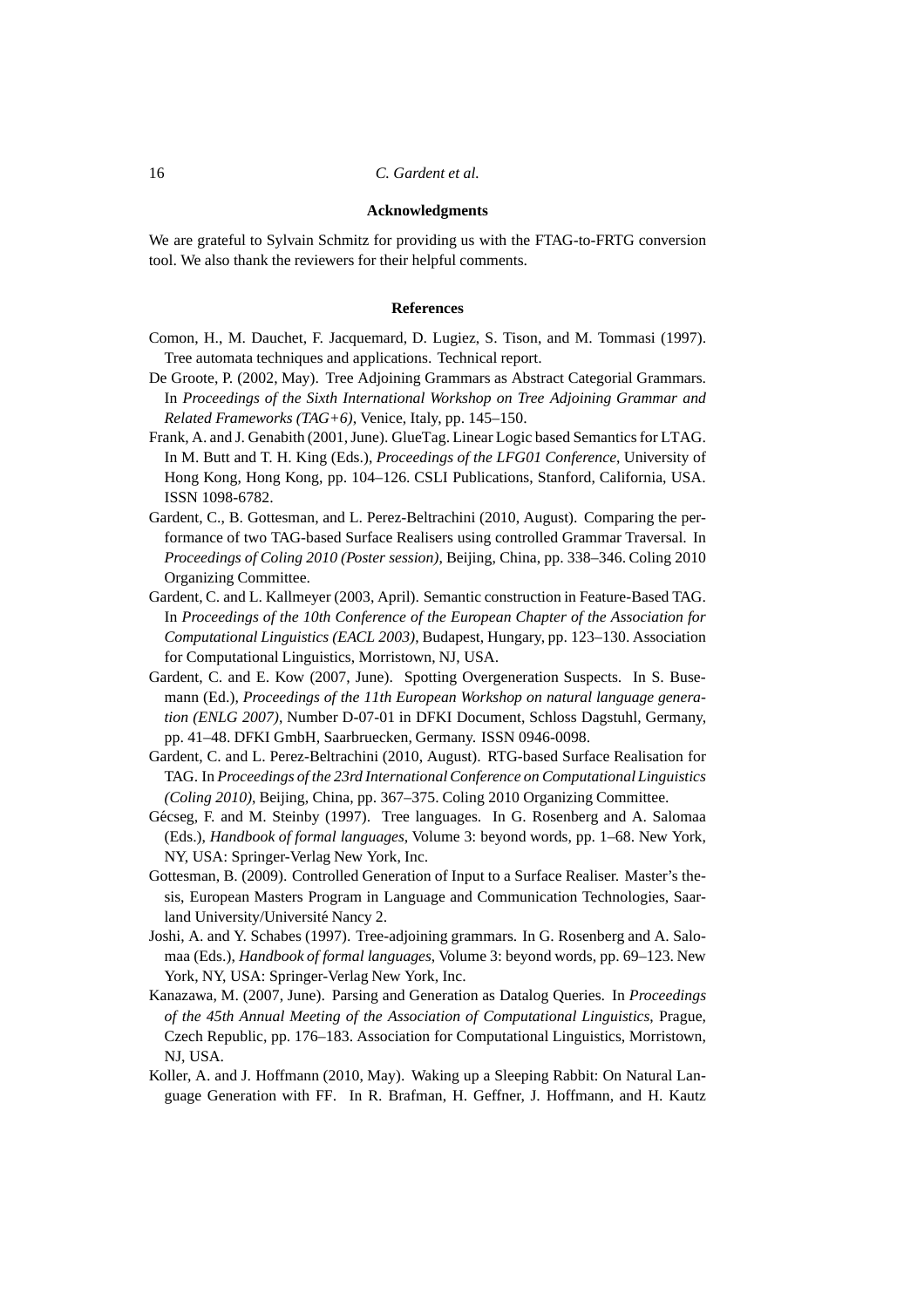### **Acknowledgments**

We are grateful to Sylvain Schmitz for providing us with the FTAG-to-FRTG conversion tool. We also thank the reviewers for their helpful comments.

#### **References**

- Comon, H., M. Dauchet, F. Jacquemard, D. Lugiez, S. Tison, and M. Tommasi (1997). Tree automata techniques and applications. Technical report.
- De Groote, P. (2002, May). Tree Adjoining Grammars as Abstract Categorial Grammars. In *Proceedings of the Sixth International Workshop on Tree Adjoining Grammar and Related Frameworks (TAG+6)*, Venice, Italy, pp. 145–150.
- Frank, A. and J. Genabith (2001, June). GlueTag. Linear Logic based Semantics for LTAG. In M. Butt and T. H. King (Eds.), *Proceedings of the LFG01 Conference*, University of Hong Kong, Hong Kong, pp. 104–126. CSLI Publications, Stanford, California, USA. ISSN 1098-6782.
- Gardent, C., B. Gottesman, and L. Perez-Beltrachini (2010, August). Comparing the performance of two TAG-based Surface Realisers using controlled Grammar Traversal. In *Proceedings of Coling 2010 (Poster session)*, Beijing, China, pp. 338–346. Coling 2010 Organizing Committee.
- Gardent, C. and L. Kallmeyer (2003, April). Semantic construction in Feature-Based TAG. In *Proceedings of the 10th Conference of the European Chapter of the Association for Computational Linguistics (EACL 2003)*, Budapest, Hungary, pp. 123–130. Association for Computational Linguistics, Morristown, NJ, USA.
- Gardent, C. and E. Kow (2007, June). Spotting Overgeneration Suspects. In S. Busemann (Ed.), *Proceedings of the 11th European Workshop on natural language generation (ENLG 2007)*, Number D-07-01 in DFKI Document, Schloss Dagstuhl, Germany, pp. 41–48. DFKI GmbH, Saarbruecken, Germany. ISSN 0946-0098.
- Gardent, C. and L. Perez-Beltrachini (2010, August). RTG-based Surface Realisation for TAG. In *Proceedings of the 23rd International Conference on Computational Linguistics (Coling 2010)*, Beijing, China, pp. 367–375. Coling 2010 Organizing Committee.
- Gécseg, F. and M. Steinby (1997). Tree languages. In G. Rosenberg and A. Salomaa (Eds.), *Handbook of formal languages*, Volume 3: beyond words, pp. 1–68. New York, NY, USA: Springer-Verlag New York, Inc.
- Gottesman, B. (2009). Controlled Generation of Input to a Surface Realiser. Master's thesis, European Masters Program in Language and Communication Technologies, Saarland University/Université Nancy 2.
- Joshi, A. and Y. Schabes (1997). Tree-adjoining grammars. In G. Rosenberg and A. Salomaa (Eds.), *Handbook of formal languages*, Volume 3: beyond words, pp. 69–123. New York, NY, USA: Springer-Verlag New York, Inc.
- Kanazawa, M. (2007, June). Parsing and Generation as Datalog Queries. In *Proceedings of the 45th Annual Meeting of the Association of Computational Linguistics*, Prague, Czech Republic, pp. 176–183. Association for Computational Linguistics, Morristown, NJ, USA.
- Koller, A. and J. Hoffmann (2010, May). Waking up a Sleeping Rabbit: On Natural Language Generation with FF. In R. Brafman, H. Geffner, J. Hoffmann, and H. Kautz